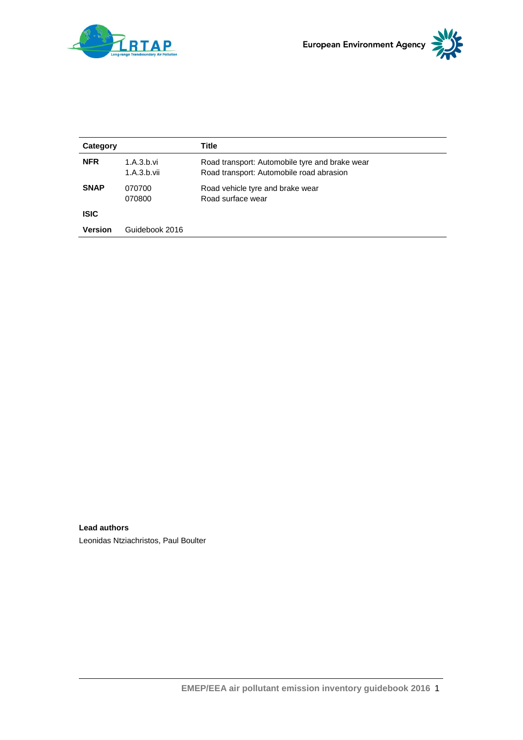

| Category    |                           | Title                                                                                      |
|-------------|---------------------------|--------------------------------------------------------------------------------------------|
| <b>NFR</b>  | 1.A.3.b.vi<br>1.A.3.b.vii | Road transport: Automobile tyre and brake wear<br>Road transport: Automobile road abrasion |
| <b>SNAP</b> | 070700<br>070800          | Road vehicle tyre and brake wear<br>Road surface wear                                      |
| <b>ISIC</b> |                           |                                                                                            |
| Version     | Guidebook 2016            |                                                                                            |

**Lead authors** Leonidas Ntziachristos, Paul Boulter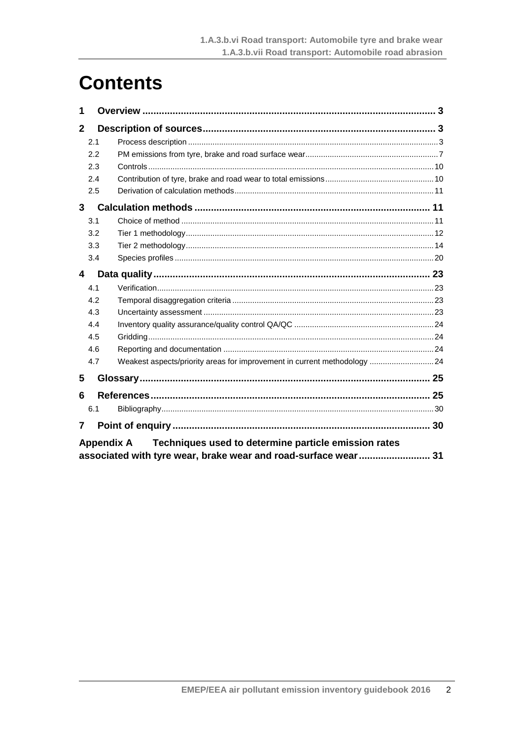# **Contents**

| 1            |                   |                                                                          |  |
|--------------|-------------------|--------------------------------------------------------------------------|--|
| $\mathbf{2}$ |                   |                                                                          |  |
|              | 2.1               |                                                                          |  |
|              | 2.2               |                                                                          |  |
|              | 2.3               |                                                                          |  |
|              | 2.4               |                                                                          |  |
|              | 2.5               |                                                                          |  |
| 3            |                   |                                                                          |  |
|              | 3.1               |                                                                          |  |
|              | 3.2               |                                                                          |  |
|              | 3.3               |                                                                          |  |
|              | 3.4               |                                                                          |  |
| 4            |                   |                                                                          |  |
|              | 4.1               |                                                                          |  |
|              | 4.2               |                                                                          |  |
|              | 4.3               |                                                                          |  |
|              | 4.4               |                                                                          |  |
|              | 4.5               |                                                                          |  |
|              | 4.6               |                                                                          |  |
|              | 4.7               | Weakest aspects/priority areas for improvement in current methodology 24 |  |
| 5            |                   |                                                                          |  |
| 6            |                   |                                                                          |  |
|              | 6.1               |                                                                          |  |
| 7            |                   |                                                                          |  |
|              | <b>Appendix A</b> | Techniques used to determine particle emission rates                     |  |

Appendix A recomputed used to determine particle emission rates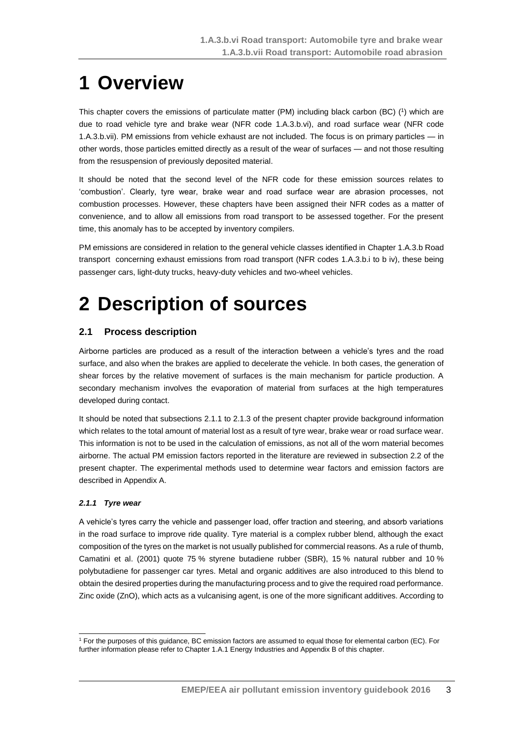# <span id="page-2-0"></span>**1 Overview**

This chapter covers the emissions of particulate matter (PM) including black carbon (BC) (1) which are due to road vehicle tyre and brake wear (NFR code 1.A.3.b.vi), and road surface wear (NFR code 1.A.3.b.vii). PM emissions from vehicle exhaust are not included. The focus is on primary particles — in other words, those particles emitted directly as a result of the wear of surfaces — and not those resulting from the resuspension of previously deposited material.

It should be noted that the second level of the NFR code for these emission sources relates to 'combustion'. Clearly, tyre wear, brake wear and road surface wear are abrasion processes, not combustion processes. However, these chapters have been assigned their NFR codes as a matter of convenience, and to allow all emissions from road transport to be assessed together. For the present time, this anomaly has to be accepted by inventory compilers.

PM emissions are considered in relation to the general vehicle classes identified in Chapter 1.A.3.b Road transport concerning exhaust emissions from road transport (NFR codes 1.A.3.b.i to b iv), these being passenger cars, light-duty trucks, heavy-duty vehicles and two-wheel vehicles.

# <span id="page-2-1"></span>**2 Description of sources**

## <span id="page-2-2"></span>**2.1 Process description**

Airborne particles are produced as a result of the interaction between a vehicle's tyres and the road surface, and also when the brakes are applied to decelerate the vehicle. In both cases, the generation of shear forces by the relative movement of surfaces is the main mechanism for particle production. A secondary mechanism involves the evaporation of material from surfaces at the high temperatures developed during contact.

It should be noted that subsections 2.1.1 to 2.1.3 of the present chapter provide background information which relates to the total amount of material lost as a result of tyre wear, brake wear or road surface wear. This information is not to be used in the calculation of emissions, as not all of the worn material becomes airborne. The actual PM emission factors reported in the literature are reviewed in subsection [2.2](#page-6-0) of the present chapter. The experimental methods used to determine wear factors and emission factors are described in Appendix A.

### *2.1.1 Tyre wear*

A vehicle's tyres carry the vehicle and passenger load, offer traction and steering, and absorb variations in the road surface to improve ride quality. Tyre material is a complex rubber blend, although the exact composition of the tyres on the market is not usually published for commercial reasons. As a rule of thumb, Camatini et al. (2001) quote 75 % styrene butadiene rubber (SBR), 15 % natural rubber and 10 % polybutadiene for passenger car tyres. Metal and organic additives are also introduced to this blend to obtain the desired properties during the manufacturing process and to give the required road performance. Zinc oxide (ZnO), which acts as a vulcanising agent, is one of the more significant additives. According to

<sup>-</sup><sup>1</sup> For the purposes of this guidance, BC emission factors are assumed to equal those for elemental carbon (EC). For further information please refer to Chapter 1.A.1 Energy Industries and Appendix B of this chapter.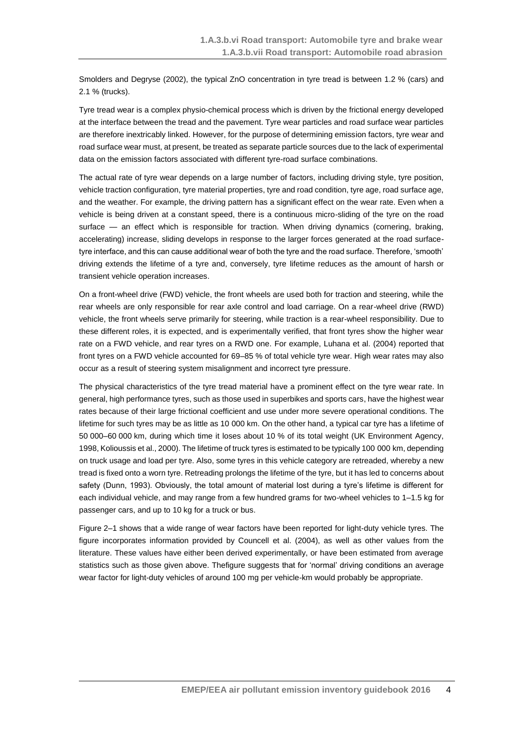Smolders and Degryse (2002), the typical ZnO concentration in tyre tread is between 1.2 % (cars) and 2.1 % (trucks).

Tyre tread wear is a complex physio-chemical process which is driven by the frictional energy developed at the interface between the tread and the pavement. Tyre wear particles and road surface wear particles are therefore inextricably linked. However, for the purpose of determining emission factors, tyre wear and road surface wear must, at present, be treated as separate particle sources due to the lack of experimental data on the emission factors associated with different tyre-road surface combinations.

The actual rate of tyre wear depends on a large number of factors, including driving style, tyre position, vehicle traction configuration, tyre material properties, tyre and road condition, tyre age, road surface age, and the weather. For example, the driving pattern has a significant effect on the wear rate. Even when a vehicle is being driven at a constant speed, there is a continuous micro-sliding of the tyre on the road surface — an effect which is responsible for traction. When driving dynamics (cornering, braking, accelerating) increase, sliding develops in response to the larger forces generated at the road surfacetyre interface, and this can cause additional wear of both the tyre and the road surface. Therefore, 'smooth' driving extends the lifetime of a tyre and, conversely, tyre lifetime reduces as the amount of harsh or transient vehicle operation increases.

On a front-wheel drive (FWD) vehicle, the front wheels are used both for traction and steering, while the rear wheels are only responsible for rear axle control and load carriage. On a rear-wheel drive (RWD) vehicle, the front wheels serve primarily for steering, while traction is a rear-wheel responsibility. Due to these different roles, it is expected, and is experimentally verified, that front tyres show the higher wear rate on a FWD vehicle, and rear tyres on a RWD one. For example, Luhana et al. (2004) reported that front tyres on a FWD vehicle accounted for 69–85 % of total vehicle tyre wear. High wear rates may also occur as a result of steering system misalignment and incorrect tyre pressure.

The physical characteristics of the tyre tread material have a prominent effect on the tyre wear rate. In general, high performance tyres, such as those used in superbikes and sports cars, have the highest wear rates because of their large frictional coefficient and use under more severe operational conditions. The lifetime for such tyres may be as little as 10 000 km. On the other hand, a typical car tyre has a lifetime of 50 000–60 000 km, during which time it loses about 10 % of its total weight (UK Environment Agency, 1998, Kolioussis et al., 2000). The lifetime of truck tyres is estimated to be typically 100 000 km, depending on truck usage and load per tyre. Also, some tyres in this vehicle category are retreaded, whereby a new tread is fixed onto a worn tyre. Retreading prolongs the lifetime of the tyre, but it has led to concerns about safety (Dunn, 1993). Obviously, the total amount of material lost during a tyre's lifetime is different for each individual vehicle, and may range from a few hundred grams for two-wheel vehicles to 1–1.5 kg for passenger cars, and up to 10 kg for a truck or bus.

Figure 2–1 shows that a wide range of wear factors have been reported for light-duty vehicle tyres. The figure incorporates information provided by Councell et al. (2004), as well as other values from the literature. These values have either been derived experimentally, or have been estimated from average statistics such as those given above. Thefigure suggests that for 'normal' driving conditions an average wear factor for light-duty vehicles of around 100 mg per vehicle-km would probably be appropriate.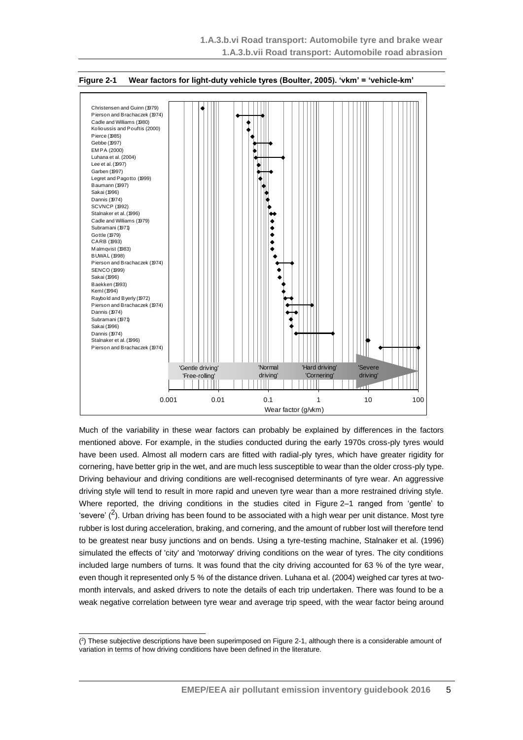

#### **Figure 2-1 Wear factors for light-duty vehicle tyres (Boulter, 2005). 'vkm' = 'vehicle-km'**

Much of the variability in these wear factors can probably be explained by differences in the factors mentioned above. For example, in the studies conducted during the early 1970s cross-ply tyres would have been used. Almost all modern cars are fitted with radial-ply tyres, which have greater rigidity for cornering, have better grip in the wet, and are much less susceptible to wear than the older cross-ply type. Driving behaviour and driving conditions are well-recognised determinants of tyre wear. An aggressive driving style will tend to result in more rapid and uneven tyre wear than a more restrained driving style. Where reported, the driving conditions in the studies cited in Figure 2–1 ranged from 'gentle' to 'severe'  $(2)$ . Urban driving has been found to be associated with a high wear per unit distance. Most tyre rubber is lost during acceleration, braking, and cornering, and the amount of rubber lost will therefore tend to be greatest near busy junctions and on bends. Using a tyre-testing machine, Stalnaker et al. (1996) simulated the effects of 'city' and 'motorway' driving conditions on the wear of tyres. The city conditions included large numbers of turns. It was found that the city driving accounted for 63 % of the tyre wear, even though it represented only 5 % of the distance driven. Luhana et al. (2004) weighed car tyres at twomonth intervals, and asked drivers to note the details of each trip undertaken. There was found to be a weak negative correlation between tyre wear and average trip speed, with the wear factor being around

-

<sup>(</sup> 2 ) These subjective descriptions have been superimposed on Figure 2-1, although there is a considerable amount of variation in terms of how driving conditions have been defined in the literature.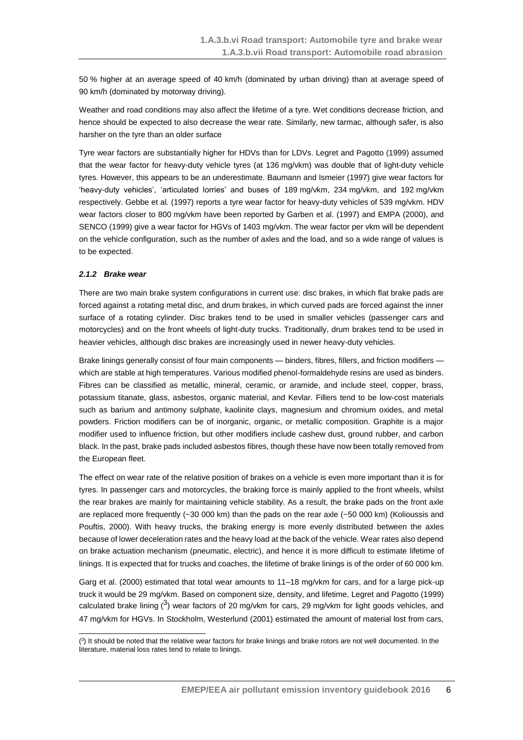50 % higher at an average speed of 40 km/h (dominated by urban driving) than at average speed of 90 km/h (dominated by motorway driving).

Weather and road conditions may also affect the lifetime of a tyre. Wet conditions decrease friction, and hence should be expected to also decrease the wear rate. Similarly, new tarmac, although safer, is also harsher on the tyre than an older surface

Tyre wear factors are substantially higher for HDVs than for LDVs. Legret and Pagotto (1999) assumed that the wear factor for heavy-duty vehicle tyres (at 136 mg/vkm) was double that of light-duty vehicle tyres. However, this appears to be an underestimate. Baumann and Ismeier (1997) give wear factors for 'heavy-duty vehicles', 'articulated lorries' and buses of 189 mg/vkm, 234 mg/vkm, and 192 mg/vkm respectively. Gebbe et al*.* (1997) reports a tyre wear factor for heavy-duty vehicles of 539 mg/vkm. HDV wear factors closer to 800 mg/vkm have been reported by Garben et al. (1997) and EMPA (2000), and SENCO (1999) give a wear factor for HGVs of 1403 mg/vkm. The wear factor per vkm will be dependent on the vehicle configuration, such as the number of axles and the load, and so a wide range of values is to be expected.

#### *2.1.2 Brake wear*

There are two main brake system configurations in current use: disc brakes, in which flat brake pads are forced against a rotating metal disc, and drum brakes, in which curved pads are forced against the inner surface of a rotating cylinder. Disc brakes tend to be used in smaller vehicles (passenger cars and motorcycles) and on the front wheels of light-duty trucks. Traditionally, drum brakes tend to be used in heavier vehicles, although disc brakes are increasingly used in newer heavy-duty vehicles.

Brake linings generally consist of four main components — binders, fibres, fillers, and friction modifiers which are stable at high temperatures. Various modified phenol-formaldehyde resins are used as binders. Fibres can be classified as metallic, mineral, ceramic, or aramide, and include steel, copper, brass, potassium titanate, glass, asbestos, organic material, and Kevlar. Fillers tend to be low-cost materials such as barium and antimony sulphate, kaolinite clays, magnesium and chromium oxides, and metal powders. Friction modifiers can be of inorganic, organic, or metallic composition. Graphite is a major modifier used to influence friction, but other modifiers include cashew dust, ground rubber, and carbon black. In the past, brake pads included asbestos fibres, though these have now been totally removed from the European fleet.

The effect on wear rate of the relative position of brakes on a vehicle is even more important than it is for tyres. In passenger cars and motorcycles, the braking force is mainly applied to the front wheels, whilst the rear brakes are mainly for maintaining vehicle stability. As a result, the brake pads on the front axle are replaced more frequently (~30 000 km) than the pads on the rear axle (~50 000 km) (Kolioussis and Pouftis, 2000). With heavy trucks, the braking energy is more evenly distributed between the axles because of lower deceleration rates and the heavy load at the back of the vehicle. Wear rates also depend on brake actuation mechanism (pneumatic, electric), and hence it is more difficult to estimate lifetime of linings. It is expected that for trucks and coaches, the lifetime of brake linings is of the order of 60 000 km.

Garg et al. (2000) estimated that total wear amounts to 11–18 mg/vkm for cars, and for a large pick-up truck it would be 29 mg/vkm. Based on component size, density, and lifetime, Legret and Pagotto (1999) calculated brake lining  $(3)$  wear factors of 20 mg/vkm for cars, 29 mg/vkm for light goods vehicles, and 47 mg/vkm for HGVs. In Stockholm, Westerlund (2001) estimated the amount of material lost from cars,

<sup>-</sup>( 3 ) It should be noted that the relative wear factors for brake linings and brake rotors are not well documented. In the literature, material loss rates tend to relate to linings.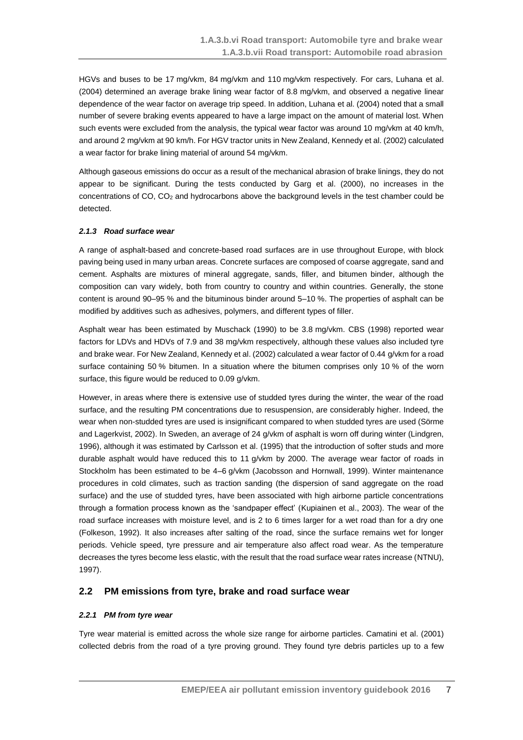HGVs and buses to be 17 mg/vkm, 84 mg/vkm and 110 mg/vkm respectively. For cars, Luhana et al. (2004) determined an average brake lining wear factor of 8.8 mg/vkm, and observed a negative linear dependence of the wear factor on average trip speed. In addition, Luhana et al. (2004) noted that a small number of severe braking events appeared to have a large impact on the amount of material lost. When such events were excluded from the analysis, the typical wear factor was around 10 mg/vkm at 40 km/h, and around 2 mg/vkm at 90 km/h. For HGV tractor units in New Zealand, Kennedy et al. (2002) calculated a wear factor for brake lining material of around 54 mg/vkm.

Although gaseous emissions do occur as a result of the mechanical abrasion of brake linings, they do not appear to be significant. During the tests conducted by Garg et al. (2000), no increases in the concentrations of CO, CO<sup>2</sup> and hydrocarbons above the background levels in the test chamber could be detected.

### *2.1.3 Road surface wear*

A range of asphalt-based and concrete-based road surfaces are in use throughout Europe, with block paving being used in many urban areas. Concrete surfaces are composed of coarse aggregate, sand and cement. Asphalts are mixtures of mineral aggregate, sands, filler, and bitumen binder, although the composition can vary widely, both from country to country and within countries. Generally, the stone content is around 90–95 % and the bituminous binder around 5–10 %. The properties of asphalt can be modified by additives such as adhesives, polymers, and different types of filler.

Asphalt wear has been estimated by Muschack (1990) to be 3.8 mg/vkm. CBS (1998) reported wear factors for LDVs and HDVs of 7.9 and 38 mg/vkm respectively, although these values also included tyre and brake wear. For New Zealand, Kennedy et al. (2002) calculated a wear factor of 0.44 g/vkm for a road surface containing 50 % bitumen. In a situation where the bitumen comprises only 10 % of the worn surface, this figure would be reduced to 0.09 g/vkm.

However, in areas where there is extensive use of studded tyres during the winter, the wear of the road surface, and the resulting PM concentrations due to resuspension, are considerably higher. Indeed, the wear when non-studded tyres are used is insignificant compared to when studded tyres are used (Sörme and Lagerkvist, 2002). In Sweden, an average of 24 g/vkm of asphalt is worn off during winter (Lindgren, 1996), although it was estimated by Carlsson et al. (1995) that the introduction of softer studs and more durable asphalt would have reduced this to 11 g/vkm by 2000. The average wear factor of roads in Stockholm has been estimated to be 4–6 g/vkm (Jacobsson and Hornwall, 1999). Winter maintenance procedures in cold climates, such as traction sanding (the dispersion of sand aggregate on the road surface) and the use of studded tyres, have been associated with high airborne particle concentrations through a formation process known as the 'sandpaper effect' (Kupiainen et al., 2003). The wear of the road surface increases with moisture level, and is 2 to 6 times larger for a wet road than for a dry one (Folkeson, 1992). It also increases after salting of the road, since the surface remains wet for longer periods. Vehicle speed, tyre pressure and air temperature also affect road wear. As the temperature decreases the tyres become less elastic, with the result that the road surface wear rates increase (NTNU), 1997).

## <span id="page-6-0"></span>**2.2 PM emissions from tyre, brake and road surface wear**

### *2.2.1 PM from tyre wear*

Tyre wear material is emitted across the whole size range for airborne particles. Camatini et al. (2001) collected debris from the road of a tyre proving ground. They found tyre debris particles up to a few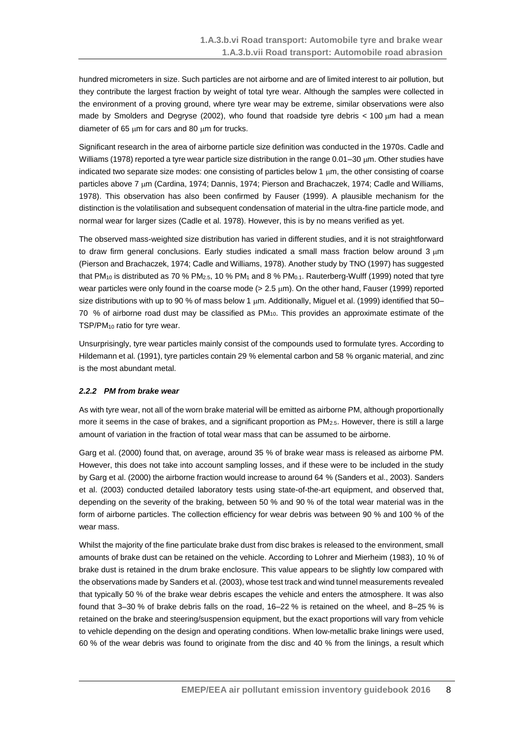hundred micrometers in size. Such particles are not airborne and are of limited interest to air pollution, but they contribute the largest fraction by weight of total tyre wear. Although the samples were collected in the environment of a proving ground, where tyre wear may be extreme, similar observations were also made by Smolders and Degryse (2002), who found that roadside tyre debris  $< 100 \mu m$  had a mean diameter of 65  $\mu$ m for cars and 80  $\mu$ m for trucks.

Significant research in the area of airborne particle size definition was conducted in the 1970s. Cadle and Williams (1978) reported a tyre wear particle size distribution in the range  $0.01-30 \mu m$ . Other studies have indicated two separate size modes: one consisting of particles below  $1 \mu m$ , the other consisting of coarse particles above 7 µm (Cardina, 1974; Dannis, 1974; Pierson and Brachaczek, 1974; Cadle and Williams, 1978). This observation has also been confirmed by Fauser (1999). A plausible mechanism for the distinction is the volatilisation and subsequent condensation of material in the ultra-fine particle mode, and normal wear for larger sizes (Cadle et al. 1978). However, this is by no means verified as yet.

The observed mass-weighted size distribution has varied in different studies, and it is not straightforward to draw firm general conclusions. Early studies indicated a small mass fraction below around 3  $\mu$ m (Pierson and Brachaczek, 1974; Cadle and Williams, 1978). Another study by TNO (1997) has suggested that PM<sub>10</sub> is distributed as 70 % PM<sub>2.5</sub>, 10 % PM<sub>1</sub> and 8 % PM<sub>0.1</sub>. Rauterberg-Wulff (1999) noted that tyre wear particles were only found in the coarse mode ( $> 2.5 \mu m$ ). On the other hand, Fauser (1999) reported size distributions with up to 90 % of mass below 1  $\mu$ m. Additionally, Miguel et al. (1999) identified that 50– 70 % of airborne road dust may be classified as PM10. This provides an approximate estimate of the TSP/PM<sub>10</sub> ratio for tyre wear.

Unsurprisingly, tyre wear particles mainly consist of the compounds used to formulate tyres. According to Hildemann et al. (1991), tyre particles contain 29 % elemental carbon and 58 % organic material, and zinc is the most abundant metal.

#### *2.2.2 PM from brake wear*

As with tyre wear, not all of the worn brake material will be emitted as airborne PM, although proportionally more it seems in the case of brakes, and a significant proportion as PM<sub>2.5</sub>. However, there is still a large amount of variation in the fraction of total wear mass that can be assumed to be airborne.

Garg et al. (2000) found that, on average, around 35 % of brake wear mass is released as airborne PM. However, this does not take into account sampling losses, and if these were to be included in the study by Garg et al. (2000) the airborne fraction would increase to around 64 % (Sanders et al., 2003). Sanders et al. (2003) conducted detailed laboratory tests using state-of-the-art equipment, and observed that, depending on the severity of the braking, between 50 % and 90 % of the total wear material was in the form of airborne particles. The collection efficiency for wear debris was between 90 % and 100 % of the wear mass.

Whilst the majority of the fine particulate brake dust from disc brakes is released to the environment, small amounts of brake dust can be retained on the vehicle. According to Lohrer and Mierheim (1983), 10 % of brake dust is retained in the drum brake enclosure. This value appears to be slightly low compared with the observations made by Sanders et al. (2003), whose test track and wind tunnel measurements revealed that typically 50 % of the brake wear debris escapes the vehicle and enters the atmosphere. It was also found that 3–30 % of brake debris falls on the road, 16–22 % is retained on the wheel, and 8–25 % is retained on the brake and steering/suspension equipment, but the exact proportions will vary from vehicle to vehicle depending on the design and operating conditions. When low-metallic brake linings were used, 60 % of the wear debris was found to originate from the disc and 40 % from the linings, a result which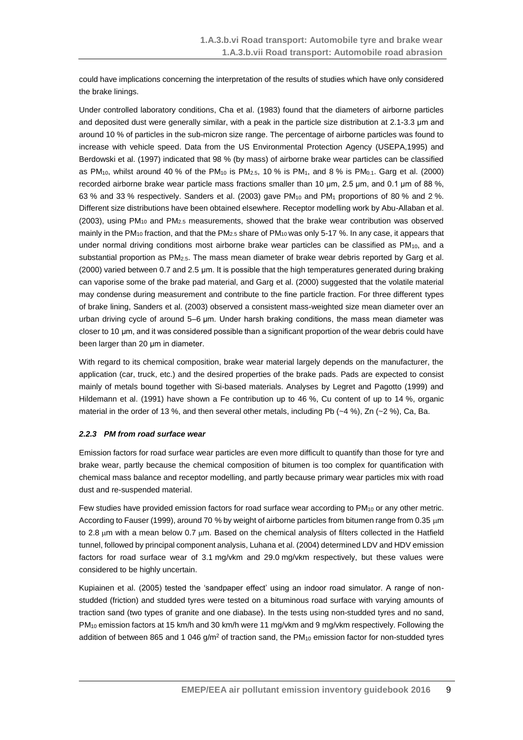could have implications concerning the interpretation of the results of studies which have only considered the brake linings.

Under controlled laboratory conditions, Cha et al. (1983) found that the diameters of airborne particles and deposited dust were generally similar, with a peak in the particle size distribution at 2.1-3.3 μm and around 10 % of particles in the sub-micron size range. The percentage of airborne particles was found to increase with vehicle speed. Data from the US Environmental Protection Agency (USEPA,1995) and Berdowski et al. (1997) indicated that 98 % (by mass) of airborne brake wear particles can be classified as PM<sub>10</sub>, whilst around 40 % of the PM<sub>10</sub> is PM<sub>2.5</sub>, 10 % is PM<sub>1</sub>, and 8 % is PM<sub>0.1</sub>. Garg et al. (2000) recorded airborne brake wear particle mass fractions smaller than 10 μm, 2.5 μm, and 0.1 μm of 88 %, 63 % and 33 % respectively. Sanders et al. (2003) gave PM<sub>10</sub> and PM<sub>1</sub> proportions of 80 % and 2 %. Different size distributions have been obtained elsewhere. Receptor modelling work by Abu-Allaban et al. (2003), using PM<sup>10</sup> and PM2.5 measurements, showed that the brake wear contribution was observed mainly in the PM<sub>10</sub> fraction, and that the PM<sub>2.5</sub> share of PM<sub>10</sub> was only 5-17 %. In any case, it appears that under normal driving conditions most airborne brake wear particles can be classified as  $PM_{10}$ , and a substantial proportion as  $PM_{2.5}$ . The mass mean diameter of brake wear debris reported by Garg et al. (2000) varied between 0.7 and 2.5 μm. It is possible that the high temperatures generated during braking can vaporise some of the brake pad material, and Garg et al. (2000) suggested that the volatile material may condense during measurement and contribute to the fine particle fraction. For three different types of brake lining, Sanders et al. (2003) observed a consistent mass-weighted size mean diameter over an urban driving cycle of around 5–6 μm. Under harsh braking conditions, the mass mean diameter was closer to 10 μm, and it was considered possible than a significant proportion of the wear debris could have been larger than 20 μm in diameter.

With regard to its chemical composition, brake wear material largely depends on the manufacturer, the application (car, truck, etc.) and the desired properties of the brake pads. Pads are expected to consist mainly of metals bound together with Si-based materials. Analyses by Legret and Pagotto (1999) and Hildemann et al. (1991) have shown a Fe contribution up to 46 %, Cu content of up to 14 %, organic material in the order of 13 %, and then several other metals, including Pb  $(-4 \%)$ , Zn  $(-2 \%)$ , Ca, Ba.

#### *2.2.3 PM from road surface wear*

Emission factors for road surface wear particles are even more difficult to quantify than those for tyre and brake wear, partly because the chemical composition of bitumen is too complex for quantification with chemical mass balance and receptor modelling, and partly because primary wear particles mix with road dust and re-suspended material.

Few studies have provided emission factors for road surface wear according to  $PM_{10}$  or any other metric. According to Fauser (1999), around 70 % by weight of airborne particles from bitumen range from 0.35  $\mu$ m to 2.8  $\mu$ m with a mean below 0.7  $\mu$ m. Based on the chemical analysis of filters collected in the Hatfield tunnel, followed by principal component analysis, Luhana et al. (2004) determined LDV and HDV emission factors for road surface wear of 3.1 mg/vkm and 29.0 mg/vkm respectively, but these values were considered to be highly uncertain.

Kupiainen et al. (2005) tested the 'sandpaper effect' using an indoor road simulator. A range of nonstudded (friction) and studded tyres were tested on a bituminous road surface with varying amounts of traction sand (two types of granite and one diabase). In the tests using non-studded tyres and no sand, PM<sub>10</sub> emission factors at 15 km/h and 30 km/h were 11 mg/vkm and 9 mg/vkm respectively. Following the addition of between 865 and 1 046  $g/m^2$  of traction sand, the PM<sub>10</sub> emission factor for non-studded tyres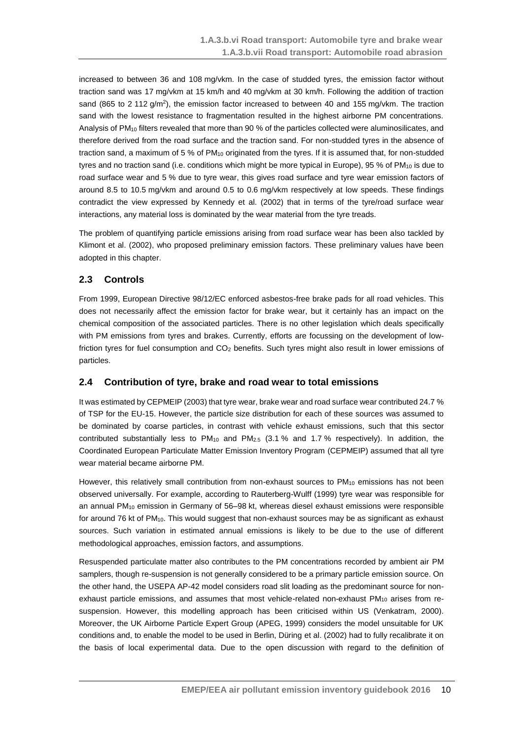increased to between 36 and 108 mg/vkm. In the case of studded tyres, the emission factor without traction sand was 17 mg/vkm at 15 km/h and 40 mg/vkm at 30 km/h. Following the addition of traction sand (865 to 2 112 g/m<sup>2</sup>), the emission factor increased to between 40 and 155 mg/vkm. The traction sand with the lowest resistance to fragmentation resulted in the highest airborne PM concentrations. Analysis of PM<sub>10</sub> filters revealed that more than 90 % of the particles collected were aluminosilicates, and therefore derived from the road surface and the traction sand. For non-studded tyres in the absence of traction sand, a maximum of 5 % of  $PM_{10}$  originated from the tyres. If it is assumed that, for non-studded tyres and no traction sand (i.e. conditions which might be more typical in Europe), 95 % of  $PM_{10}$  is due to road surface wear and 5 % due to tyre wear, this gives road surface and tyre wear emission factors of around 8.5 to 10.5 mg/vkm and around 0.5 to 0.6 mg/vkm respectively at low speeds. These findings contradict the view expressed by Kennedy et al. (2002) that in terms of the tyre/road surface wear interactions, any material loss is dominated by the wear material from the tyre treads.

The problem of quantifying particle emissions arising from road surface wear has been also tackled by Klimont et al. (2002), who proposed preliminary emission factors. These preliminary values have been adopted in this chapter.

## <span id="page-9-0"></span>**2.3 Controls**

From 1999, European Directive 98/12/EC enforced asbestos-free brake pads for all road vehicles. This does not necessarily affect the emission factor for brake wear, but it certainly has an impact on the chemical composition of the associated particles. There is no other legislation which deals specifically with PM emissions from tyres and brakes. Currently, efforts are focussing on the development of lowfriction tyres for fuel consumption and CO<sup>2</sup> benefits. Such tyres might also result in lower emissions of particles.

## <span id="page-9-1"></span>**2.4 Contribution of tyre, brake and road wear to total emissions**

It was estimated by CEPMEIP (2003) that tyre wear, brake wear and road surface wear contributed 24.7 % of TSP for the EU-15. However, the particle size distribution for each of these sources was assumed to be dominated by coarse particles, in contrast with vehicle exhaust emissions, such that this sector contributed substantially less to PM<sub>10</sub> and PM<sub>2.5</sub> (3.1 % and 1.7 % respectively). In addition, the Coordinated European Particulate Matter Emission Inventory Program (CEPMEIP) assumed that all tyre wear material became airborne PM.

However, this relatively small contribution from non-exhaust sources to  $PM_{10}$  emissions has not been observed universally. For example, according to Rauterberg-Wulff (1999) tyre wear was responsible for an annual PM<sub>10</sub> emission in Germany of 56–98 kt, whereas diesel exhaust emissions were responsible for around 76 kt of PM<sub>10</sub>. This would suggest that non-exhaust sources may be as significant as exhaust sources. Such variation in estimated annual emissions is likely to be due to the use of different methodological approaches, emission factors, and assumptions.

Resuspended particulate matter also contributes to the PM concentrations recorded by ambient air PM samplers, though re-suspension is not generally considered to be a primary particle emission source. On the other hand, the USEPA AP-42 model considers road slit loading as the predominant source for nonexhaust particle emissions, and assumes that most vehicle-related non-exhaust PM<sub>10</sub> arises from resuspension. However, this modelling approach has been criticised within US (Venkatram, 2000). Moreover, the UK Airborne Particle Expert Group (APEG, 1999) considers the model unsuitable for UK conditions and, to enable the model to be used in Berlin, Düring et al. (2002) had to fully recalibrate it on the basis of local experimental data. Due to the open discussion with regard to the definition of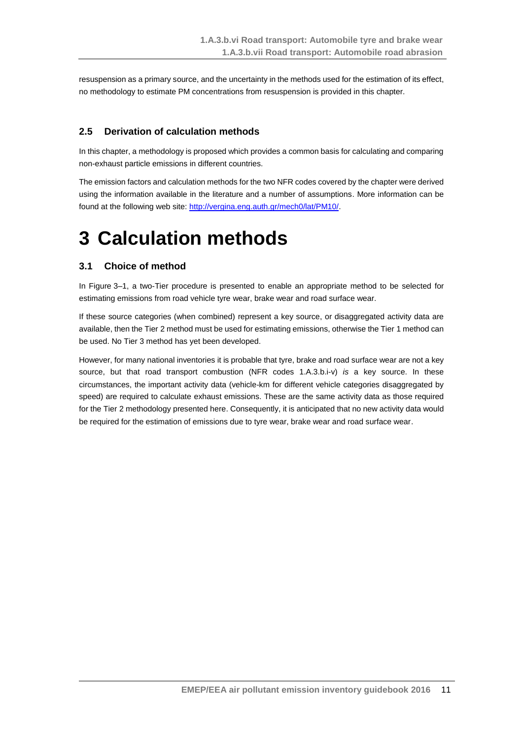resuspension as a primary source, and the uncertainty in the methods used for the estimation of its effect, no methodology to estimate PM concentrations from resuspension is provided in this chapter.

## <span id="page-10-0"></span>**2.5 Derivation of calculation methods**

In this chapter, a methodology is proposed which provides a common basis for calculating and comparing non-exhaust particle emissions in different countries.

The emission factors and calculation methods for the two NFR codes covered by the chapter were derived using the information available in the literature and a number of assumptions. More information can be found at the following web site[: http://vergina.eng.auth.gr/mech0/lat/PM10/.](http://vergina.eng.auth.gr/mech0/lat/PM10/)

## <span id="page-10-1"></span>**3 Calculation methods**

## <span id="page-10-2"></span>**3.1 Choice of method**

In Figure 3–1, a two-Tier procedure is presented to enable an appropriate method to be selected for estimating emissions from road vehicle tyre wear, brake wear and road surface wear.

If these source categories (when combined) represent a key source, or disaggregated activity data are available, then the Tier 2 method must be used for estimating emissions, otherwise the Tier 1 method can be used. No Tier 3 method has yet been developed.

However, for many national inventories it is probable that tyre, brake and road surface wear are not a key source, but that road transport combustion (NFR codes 1.A.3.b.i-v) *is* a key source. In these circumstances, the important activity data (vehicle-km for different vehicle categories disaggregated by speed) are required to calculate exhaust emissions. These are the same activity data as those required for the Tier 2 methodology presented here. Consequently, it is anticipated that no new activity data would be required for the estimation of emissions due to tyre wear, brake wear and road surface wear.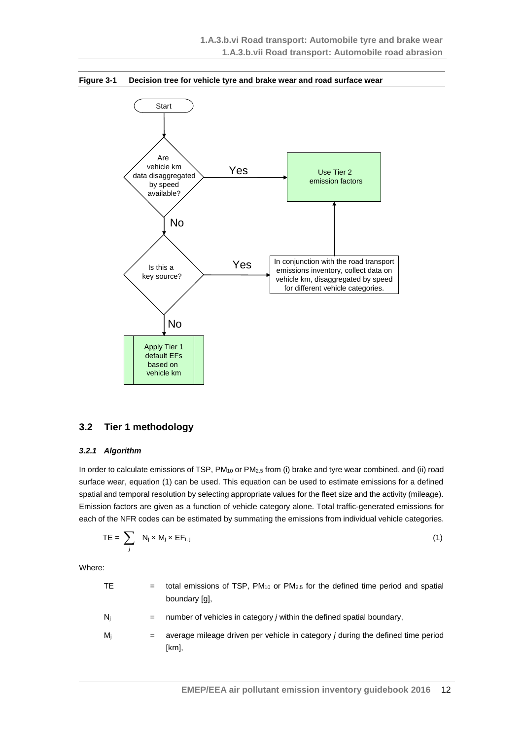

#### **Figure 3-1 Decision tree for vehicle tyre and brake wear and road surface wear**

### <span id="page-11-0"></span>**3.2 Tier 1 methodology**

#### *3.2.1 Algorithm*

In order to calculate emissions of TSP, PM<sub>10</sub> or PM<sub>2.5</sub> from (i) brake and tyre wear combined, and (ii) road surface wear, equation (1) can be used. This equation can be used to estimate emissions for a defined spatial and temporal resolution by selecting appropriate values for the fleet size and the activity (mileage). Emission factors are given as a function of vehicle category alone. Total traffic-generated emissions for each of the NFR codes can be estimated by summating the emissions from individual vehicle categories.

$$
TE = \sum_{j} N_j \times M_j \times EF_{i,j}
$$
 (1)

Where:

| ТE | $=$ total emissions of TSP, PM <sub>10</sub> or PM <sub>2.5</sub> for the defined time period and spatial<br>boundary [ɑ], |
|----|----------------------------------------------------------------------------------------------------------------------------|
| Ni | $=$ number of vehicles in category <i>j</i> within the defined spatial boundary,                                           |

M<sup>j</sup> = average mileage driven per vehicle in category *j* during the defined time period [km],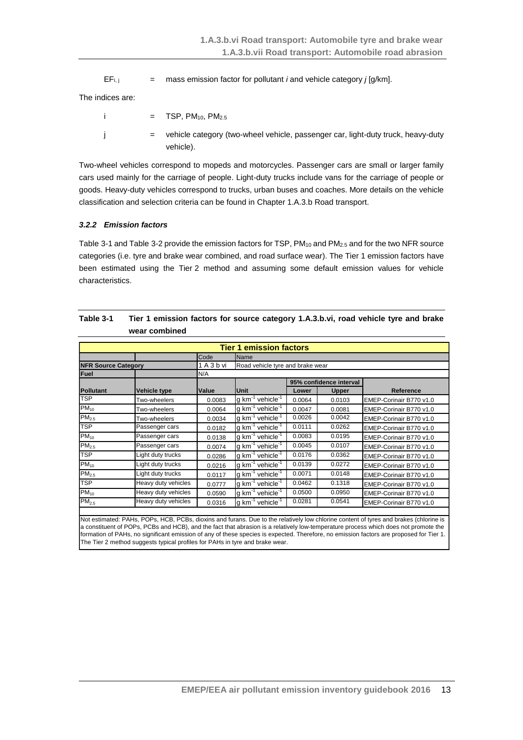$EF_{i,j}$  = mass emission factor for pollutant *i* and vehicle category *j* [g/km].

The indices are:

$$
= TSP, PM10, PM2.5
$$
  
= vehicle category (two-wheel vehicle, passenger car, light-duty truck, heavy-duty vehicle).

Two-wheel vehicles correspond to mopeds and motorcycles. Passenger cars are small or larger family cars used mainly for the carriage of people. Light-duty trucks include vans for the carriage of people or goods. Heavy-duty vehicles correspond to trucks, urban buses and coaches. More details on the vehicle classification and selection criteria can be found in Chapter 1.A.3.b Road transport.

### *3.2.2 Emission factors*

[Table](#page-12-0) 3-1 an[d Table](#page-13-1) 3-2 provide the emission factors for TSP, PM<sub>10</sub> and PM<sub>2.5</sub> and for the two NFR source categories (i.e. tyre and brake wear combined, and road surface wear). The Tier 1 emission factors have been estimated using the Tier 2 method and assuming some default emission values for vehicle characteristics.

|                            | <b>Tier 1 emission factors</b> |        |                                            |        |                         |                         |
|----------------------------|--------------------------------|--------|--------------------------------------------|--------|-------------------------|-------------------------|
|                            |                                | Code   | Name                                       |        |                         |                         |
| <b>NFR Source Category</b> |                                | 1A3bvi | Road vehicle tyre and brake wear           |        |                         |                         |
| Fuel                       |                                | N/A    |                                            |        |                         |                         |
|                            |                                |        |                                            |        | 95% confidence interval |                         |
| <b>Pollutant</b>           | Vehicle type                   | Value  | Unit                                       | Lower  | <b>Upper</b>            | <b>Reference</b>        |
| <b>TSP</b>                 | Two-wheelers                   | 0.0083 | $q$ km <sup>-1</sup> vehicle <sup>-1</sup> | 0.0064 | 0.0103                  | EMEP-Corinair B770 v1.0 |
| $PM_{10}$                  | Two-wheelers                   | 0.0064 | $q$ km <sup>-1</sup> vehicle <sup>-1</sup> | 0.0047 | 0.0081                  | EMEP-Corinair B770 v1.0 |
| PM <sub>2.5</sub>          | Two-wheelers                   | 0.0034 | $q$ km <sup>-1</sup> vehicle <sup>-1</sup> | 0.0026 | 0.0042                  | EMEP-Corinair B770 v1.0 |
| <b>TSP</b>                 | Passenger cars                 | 0.0182 | $q$ km <sup>-1</sup> vehicle <sup>-1</sup> | 0.0111 | 0.0262                  | EMEP-Corinair B770 v1.0 |
| $PM_{10}$                  | Passenger cars                 | 0.0138 | g $km^{-1}$ vehicle <sup>-1</sup>          | 0.0083 | 0.0195                  | EMEP-Corinair B770 v1.0 |
| $PM_{2.5}$                 | Passenger cars                 | 0.0074 | g km <sup>-1</sup> vehicle <sup>-1</sup>   | 0.0045 | 0.0107                  | EMEP-Corinair B770 v1.0 |
| <b>TSP</b>                 | Light duty trucks              | 0.0286 | $g \text{ km}^{-1}$ vehicle <sup>-1</sup>  | 0.0176 | 0.0362                  | EMEP-Corinair B770 v1.0 |
| $PM_{10}$                  | Light duty trucks              | 0.0216 | g $km^{-1}$ vehicle <sup>-1</sup>          | 0.0139 | 0.0272                  | EMEP-Corinair B770 v1.0 |
| PM <sub>2.5</sub>          | Light duty trucks              | 0.0117 | $q$ km <sup>-1</sup> vehicle <sup>-1</sup> | 0.0071 | 0.0148                  | EMEP-Corinair B770 v1.0 |
| <b>TSP</b>                 | Heavy duty vehicles            | 0.0777 | $q$ km <sup>-1</sup> vehicle <sup>-1</sup> | 0.0462 | 0.1318                  | EMEP-Corinair B770 v1.0 |
| $PM_{10}$                  | Heavy duty vehicles            | 0.0590 | g $km^{-1}$ vehicle <sup>-1</sup>          | 0.0500 | 0.0950                  | EMEP-Corinair B770 v1.0 |
| PM <sub>2.5</sub>          | Heavy duty vehicles            | 0.0316 | g $km^{-1}$ vehicle <sup>-1</sup>          | 0.0281 | 0.0541                  | EMEP-Corinair B770 v1.0 |
|                            |                                |        |                                            |        |                         |                         |

<span id="page-12-0"></span>

| Table 3-1 | Tier 1 emission factors for source category 1.A.3.b.vi, road vehicle tyre and brake |
|-----------|-------------------------------------------------------------------------------------|
|           | wear combined                                                                       |

Not estimated: PAHs, POPs, HCB, PCBs, dioxins and furans. Due to the relatively low chlorine content of tyres and brakes (chlorine is a constituent of POPs, PCBs and HCB), and the fact that abrasion is a relatively low-temperature process which does not promote the formation of PAHs, no significant emission of any of these species is expected. Therefore, no emission factors are proposed for Tier 1. The Tier 2 method suggests typical profiles for PAHs in tyre and brake wear.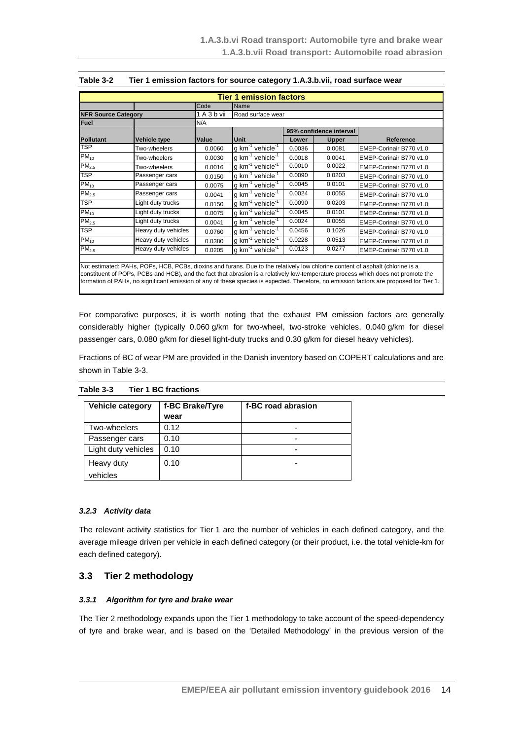|                            |                     |             | <b>Tier 1 emission factors</b>             |        |                         |                         |
|----------------------------|---------------------|-------------|--------------------------------------------|--------|-------------------------|-------------------------|
|                            |                     | Code        | Name                                       |        |                         |                         |
| <b>NFR Source Category</b> |                     | 1 A 3 b vii | Road surface wear                          |        |                         |                         |
| <b>Fuel</b>                |                     | N/A         |                                            |        |                         |                         |
|                            |                     |             |                                            |        | 95% confidence interval |                         |
| <b>Pollutant</b>           | <b>Vehicle type</b> | Value       | Unit                                       | Lower  | Upper                   | <b>Reference</b>        |
| TSP                        | Two-wheelers        | 0.0060      | $q$ km <sup>-1</sup> vehicle <sup>-1</sup> | 0.0036 | 0.0081                  | EMEP-Corinair B770 v1.0 |
| $PM_{10}$                  | Two-wheelers        | 0.0030      | g $km^{-1}$ vehicle <sup>-1</sup>          | 0.0018 | 0.0041                  | EMEP-Corinair B770 v1.0 |
| PM <sub>2.5</sub>          | Two-wheelers        | 0.0016      | g $km^{-1}$ vehicle <sup>-1</sup>          | 0.0010 | 0.0022                  | EMEP-Corinair B770 v1.0 |
| TSP                        | Passenger cars      | 0.0150      | g $km^{-1}$ vehicle <sup>-1</sup>          | 0.0090 | 0.0203                  | EMEP-Corinair B770 v1.0 |
| $PM_{10}$                  | Passenger cars      | 0.0075      | g $km^{-1}$ vehicle <sup>-1</sup>          | 0.0045 | 0.0101                  | EMEP-Corinair B770 v1.0 |
| PM <sub>2.5</sub>          | Passenger cars      | 0.0041      | g $km^{-1}$ vehicle <sup>-1</sup>          | 0.0024 | 0.0055                  | EMEP-Corinair B770 v1.0 |
| TSP                        | Light duty trucks   | 0.0150      | g $km^{-1}$ vehicle <sup>-1</sup>          | 0.0090 | 0.0203                  | EMEP-Corinair B770 v1.0 |
| $PM_{10}$                  | Light duty trucks   | 0.0075      | g $km^{-1}$ vehicle <sup>-1</sup>          | 0.0045 | 0.0101                  | EMEP-Corinair B770 v1.0 |
| PM <sub>2.5</sub>          | Light duty trucks   | 0.0041      | g km <sup>-1</sup> vehicle <sup>-1</sup>   | 0.0024 | 0.0055                  | EMEP-Corinair B770 v1.0 |
| <b>TSP</b>                 | Heavy duty vehicles | 0.0760      | g km <sup>-1</sup> vehicle <sup>-1</sup>   | 0.0456 | 0.1026                  | EMEP-Corinair B770 v1.0 |
| $PM_{10}$                  | Heavy duty vehicles | 0.0380      | g $km^{-1}$ vehicle <sup>-1</sup>          | 0.0228 | 0.0513                  | EMEP-Corinair B770 v1.0 |
| PM <sub>2.5</sub>          | Heavy duty vehicles | 0.0205      | g $km^{-1}$ vehicle <sup>-1</sup>          | 0.0123 | 0.0277                  | EMEP-Corinair B770 v1.0 |

#### <span id="page-13-1"></span>**Table 3-2 Tier 1 emission factors for source category 1.A.3.b.vii, road surface wear**

Not estimated: PAHs, POPs, HCB, PCBs, dioxins and furans. Due to the relatively low chlorine content of asphalt (chlorine is a constituent of POPs, PCBs and HCB), and the fact that abrasion is a relatively low-temperature process which does not promote the formation of PAHs, no significant emission of any of these species is expected. Therefore, no emission factors are proposed for Tier 1.

For comparative purposes, it is worth noting that the exhaust PM emission factors are generally considerably higher (typically 0.060 g/km for two-wheel, two-stroke vehicles, 0.040 g/km for diesel passenger cars, 0.080 g/km for diesel light-duty trucks and 0.30 g/km for diesel heavy vehicles).

Fractions of BC of wear PM are provided in the Danish inventory based on COPERT calculations and are shown in [Table](#page-13-2) 3-3.

<span id="page-13-2"></span>

| Table 3-3 | <b>Tier 1 BC fractions</b> |
|-----------|----------------------------|
|           |                            |

| Vehicle category       | f-BC Brake/Tyre<br>wear | f-BC road abrasion |
|------------------------|-------------------------|--------------------|
| Two-wheelers           | 0.12                    |                    |
| Passenger cars         | 0.10                    |                    |
| Light duty vehicles    | 0.10                    | -                  |
| Heavy duty<br>vehicles | 0.10                    |                    |

#### *3.2.3 Activity data*

The relevant activity statistics for Tier 1 are the number of vehicles in each defined category, and the average mileage driven per vehicle in each defined category (or their product, i.e. the total vehicle-km for each defined category).

### <span id="page-13-0"></span>**3.3 Tier 2 methodology**

#### *3.3.1 Algorithm for tyre and brake wear*

The Tier 2 methodology expands upon the Tier 1 methodology to take account of the speed-dependency of tyre and brake wear, and is based on the 'Detailed Methodology' in the previous version of the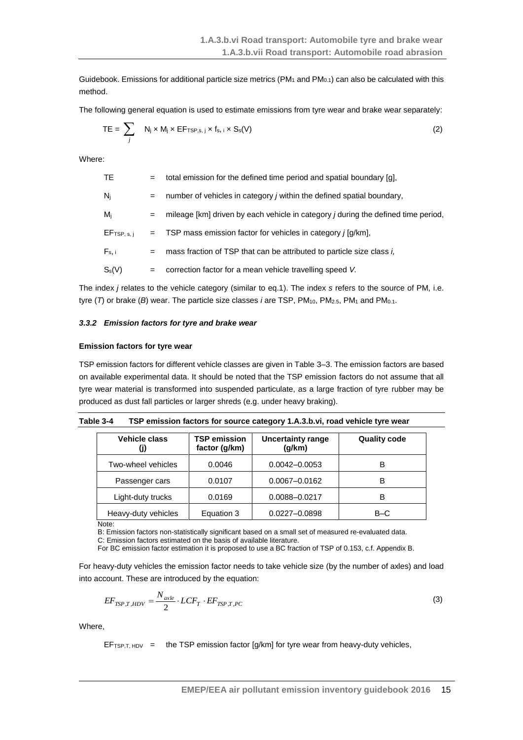Guidebook. Emissions for additional particle size metrics (PM<sub>1</sub> and PM<sub>0.1</sub>) can also be calculated with this method.

The following general equation is used to estimate emissions from tyre wear and brake wear separately:

$$
TE = \sum_{j} N_{j} \times M_{j} \times EF_{TSP,s,j} \times f_{s,j} \times S_{s}(V)
$$
 (2)

Where:

| TE.         | $=$ | total emission for the defined time period and spatial boundary [g],                     |
|-------------|-----|------------------------------------------------------------------------------------------|
| $N_i$       | $=$ | number of vehicles in category <i>j</i> within the defined spatial boundary,             |
| $M_i$       | $=$ | mileage [km] driven by each vehicle in category <i>j</i> during the defined time period, |
| EFTSP, s, i |     | $=$ TSP mass emission factor for vehicles in category $j$ [g/km],                        |
| $F_s$ , i   | $=$ | mass fraction of TSP that can be attributed to particle size class i,                    |
| $S_s(V)$    | $=$ | correction factor for a mean vehicle travelling speed V.                                 |
|             |     |                                                                                          |

The index *j* relates to the vehicle category (similar to eq.1). The index *s* refers to the source of PM, i.e. tyre (*T*) or brake (*B*) wear. The particle size classes *i* are TSP, PM<sub>10</sub>, PM<sub>2.5</sub>, PM<sub>1</sub> and PM<sub>0.1</sub>.

#### *3.3.2 Emission factors for tyre and brake wear*

#### **Emission factors for tyre wear**

TSP emission factors for different vehicle classes are given in Table 3–3. The emission factors are based on available experimental data. It should be noted that the TSP emission factors do not assume that all tyre wear material is transformed into suspended particulate, as a large fraction of tyre rubber may be produced as dust fall particles or larger shreds (e.g. under heavy braking).

| Table 3-4 | TSP emission factors for source category 1.A.3.b.vi, road vehicle tyre wear |
|-----------|-----------------------------------------------------------------------------|
|-----------|-----------------------------------------------------------------------------|

| Vehicle class       | <b>TSP emission</b><br>factor (g/km) | <b>Uncertainty range</b><br>(g/km) | <b>Quality code</b> |
|---------------------|--------------------------------------|------------------------------------|---------------------|
| Two-wheel vehicles  | 0.0046                               | 0.0042-0.0053                      | в                   |
| Passenger cars      | 0.0107                               | 0.0067-0.0162                      | в                   |
| Light-duty trucks   | 0.0169                               | 0.0088-0.0217                      | в                   |
| Heavy-duty vehicles | Equation 3                           | 0.0227-0.0898                      | $B-C$               |

Note:

B: Emission factors non-statistically significant based on a small set of measured re-evaluated data.

C: Emission factors estimated on the basis of available literature.

For BC emission factor estimation it is proposed to use a BC fraction of TSP of 0.153, c.f. Appendix B.

For heavy-duty vehicles the emission factor needs to take vehicle size (by the number of axles) and load into account. These are introduced by the equation:

$$
EF_{TSP,T,HDV} = \frac{N_{axle}}{2} \cdot LCF_T \cdot EF_{TSP,T,PC}
$$

(3)

Where,

EFTSP, T, HDV = the TSP emission factor  $[g/km]$  for tyre wear from heavy-duty vehicles,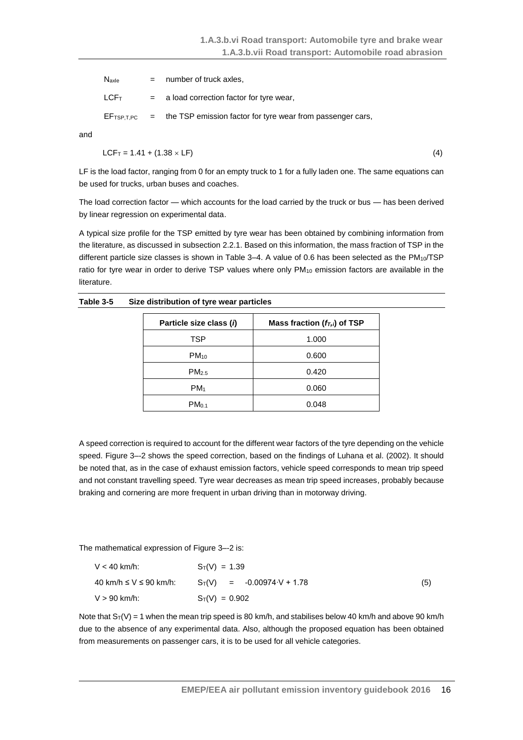| Naxle                                    | $=$ number of truck axles,                                                  |
|------------------------------------------|-----------------------------------------------------------------------------|
| ${\sf LCF_T}$ . The set of ${\sf LCF_T}$ | $=$ a load correction factor for tyre wear,                                 |
|                                          | $E_{TSP, TPC}$ = the TSP emission factor for tyre wear from passenger cars, |

and

$$
LCF_T = 1.41 + (1.38 \times LF)
$$
 (4)

LF is the load factor, ranging from 0 for an empty truck to 1 for a fully laden one. The same equations can be used for trucks, urban buses and coaches.

The load correction factor — which accounts for the load carried by the truck or bus — has been derived by linear regression on experimental data.

A typical size profile for the TSP emitted by tyre wear has been obtained by combining information from the literature, as discussed in subsection 2.2.1. Based on this information, the mass fraction of TSP in the different particle size classes is shown in Table 3-4. A value of 0.6 has been selected as the  $PM_{10}/TSP$ ratio for tyre wear in order to derive TSP values where only PM<sub>10</sub> emission factors are available in the literature.

| Table 3-5 | Size distribution of tyre wear particles |  |  |
|-----------|------------------------------------------|--|--|
|-----------|------------------------------------------|--|--|

| Particle size class (i) | Mass fraction $(f_{T,i})$ of TSP |
|-------------------------|----------------------------------|
| TSP                     | 1.000                            |
| $PM_{10}$               | 0.600                            |
| PM <sub>2.5</sub>       | 0.420                            |
| PM <sub>1</sub>         | 0.060                            |
| PM <sub>0.1</sub>       | 0.048                            |
|                         |                                  |

A speed correction is required to account for the different wear factors of the tyre depending on the vehicle speed. [Figure](#page-16-0) 3–-2 shows the speed correction, based on the findings of Luhana et al. (2002). It should be noted that, as in the case of exhaust emission factors, vehicle speed corresponds to mean trip speed and not constant travelling speed. Tyre wear decreases as mean trip speed increases, probably because braking and cornering are more frequent in urban driving than in motorway driving.

The mathematical expression of [Figure](#page-16-0) 3–-2 is:

| $V < 40$ km/h:         | $S_T(V) = 1.39$                    |     |
|------------------------|------------------------------------|-----|
| 40 km/h ≤ V ≤ 90 km/h: | $S_T(V) = -0.00974 \cdot V + 1.78$ | (5) |
| V > 90 km/h:           | $S_T(V) = 0.902$                   |     |

Note that  $S_T(V) = 1$  when the mean trip speed is 80 km/h, and stabilises below 40 km/h and above 90 km/h due to the absence of any experimental data. Also, although the proposed equation has been obtained from measurements on passenger cars, it is to be used for all vehicle categories.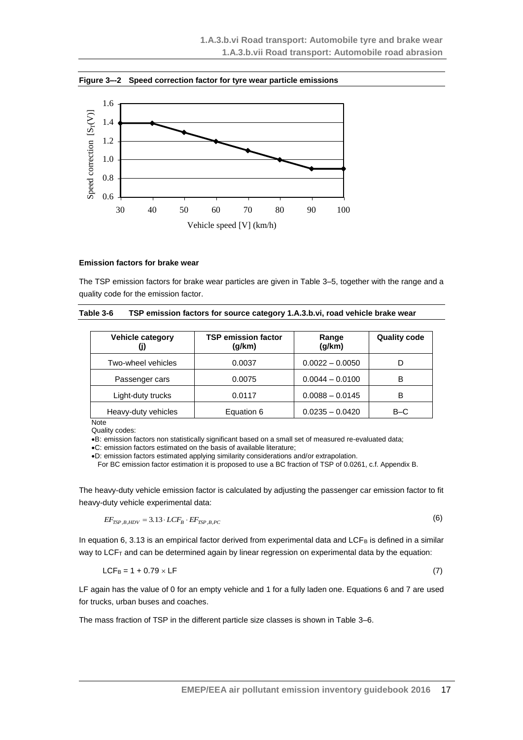<span id="page-16-0"></span>**Figure 3–-2 Speed correction factor for tyre wear particle emissions**



#### **Emission factors for brake wear**

The TSP emission factors for brake wear particles are given in Table 3–5, together with the range and a quality code for the emission factor.

| Table 3-6 | TSP emission factors for source category 1.A.3.b.vi, road vehicle brake wear |  |  |  |
|-----------|------------------------------------------------------------------------------|--|--|--|
|-----------|------------------------------------------------------------------------------|--|--|--|

| Vehicle category    | <b>TSP emission factor</b><br>(g/km) | Range<br>(g/km)   | <b>Quality code</b> |
|---------------------|--------------------------------------|-------------------|---------------------|
| Two-wheel vehicles  | 0.0037                               | $0.0022 - 0.0050$ | D                   |
| Passenger cars      | 0.0075                               | $0.0044 - 0.0100$ | в                   |
| Light-duty trucks   | 0.0117                               | $0.0088 - 0.0145$ | В                   |
| Heavy-duty vehicles | Equation 6                           | $0.0235 - 0.0420$ | B-C                 |
| Note                |                                      |                   |                     |

Quality codes:

B: emission factors non statistically significant based on a small set of measured re-evaluated data;

C: emission factors estimated on the basis of available literature;

D: emission factors estimated applying similarity considerations and/or extrapolation.

For BC emission factor estimation it is proposed to use a BC fraction of TSP of 0.0261, c.f. Appendix B.

The heavy-duty vehicle emission factor is calculated by adjusting the passenger car emission factor to fit heavy-duty vehicle experimental data:

$$
EF_{TSP,B,HDV} = 3.13 \cdot LCF_B \cdot EF_{TSP,B,PC}
$$

In equation 6, 3.13 is an empirical factor derived from experimental data and LCF $_B$  is defined in a similar way to LCF<sub>T</sub> and can be determined again by linear regression on experimental data by the equation:

$$
LCF_B = 1 + 0.79 \times LF \tag{7}
$$

LF again has the value of 0 for an empty vehicle and 1 for a fully laden one. Equations 6 and 7 are used for trucks, urban buses and coaches.

The mass fraction of TSP in the different particle size classes is shown in Table 3–6.

(6)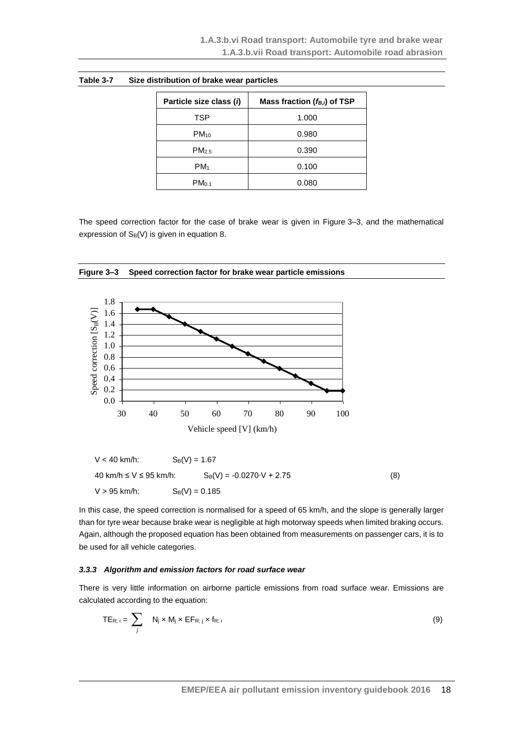| Particle size class (i) | Mass fraction $(f_{B,i})$ of TSP |
|-------------------------|----------------------------------|
| TSP                     | 1.000                            |
| $PM_{10}$               | 0.980                            |
| PM <sub>2.5</sub>       | 0.390                            |
| PM <sub>1</sub>         | 0.100                            |
| PM <sub>0.1</sub>       | 0.080                            |

The speed correction factor for the case of brake wear is given in Figure 3–3, and the mathematical expression of  $S_B(V)$  is given in equation 8.



**Figure 3–3 Speed correction factor for brake wear particle emissions**

In this case, the speed correction is normalised for a speed of 65 km/h, and the slope is generally larger than for tyre wear because brake wear is negligible at high motorway speeds when limited braking occurs. Again, although the proposed equation has been obtained from measurements on passenger cars, it is to

#### *3.3.3 Algorithm and emission factors for road surface wear*

 $V > 95$  km/h:  $S_B(V) = 0.185$ 

be used for all vehicle categories.

There is very little information on airborne particle emissions from road surface wear. Emissions are calculated according to the equation:

$$
TE_{R; i} = \sum_{j} N_{j} \times M_{j} \times EF_{R; j} \times f_{R; i}
$$
 (9)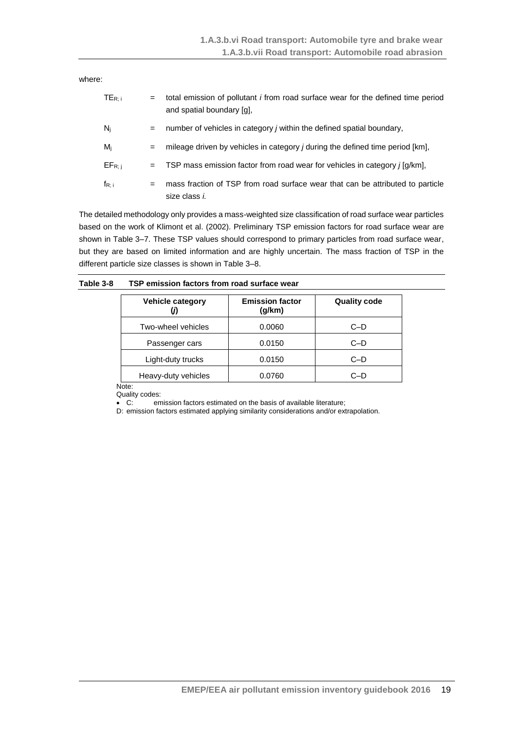where:

| $TE_{R:i}$  | $=$ | total emission of pollutant <i>i</i> from road surface wear for the defined time period<br>and spatial boundary [g], |
|-------------|-----|----------------------------------------------------------------------------------------------------------------------|
| $N_i$       | $=$ | number of vehicles in category j within the defined spatial boundary,                                                |
| $M_i$       | $=$ | mileage driven by vehicles in category <i>j</i> during the defined time period [km],                                 |
| $EF_{R; i}$ | $=$ | TSP mass emission factor from road wear for vehicles in category $j$ [g/km],                                         |
| $f_{R; i}$  | $=$ | mass fraction of TSP from road surface wear that can be attributed to particle<br>size class i.                      |

The detailed methodology only provides a mass-weighted size classification of road surface wear particles based on the work of Klimont et al. (2002). Preliminary TSP emission factors for road surface wear are shown in Table 3–7. These TSP values should correspond to primary particles from road surface wear, but they are based on limited information and are highly uncertain. The mass fraction of TSP in the different particle size classes is shown in Table 3–8.

| Table 3-8 |  |  | TSP emission factors from road surface wear |
|-----------|--|--|---------------------------------------------|
|-----------|--|--|---------------------------------------------|

| <b>Vehicle category</b> | <b>Emission factor</b><br>(g/km) | <b>Quality code</b> |
|-------------------------|----------------------------------|---------------------|
| Two-wheel vehicles      | 0.0060                           | $C-D$               |
| Passenger cars          | 0.0150                           | $C-D$               |
| Light-duty trucks       | 0.0150                           | $C-D$               |
| Heavy-duty vehicles     | 0.0760                           | C–D                 |

Note:

Quality codes:<br>• C: em

emission factors estimated on the basis of available literature; D: emission factors estimated applying similarity considerations and/or extrapolation.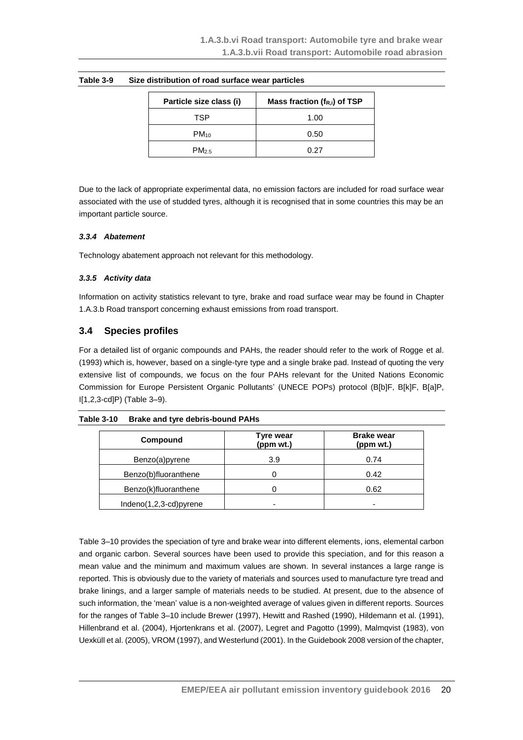| Particle size class (i) | Mass fraction $(f_{R,i})$ of TSP |
|-------------------------|----------------------------------|
| TSP                     | 1.00                             |
| $PM_{10}$               | 0.50                             |
| PM <sub>2.5</sub>       | በ 27                             |

#### **Table 3-9 Size distribution of road surface wear particles**

Due to the lack of appropriate experimental data, no emission factors are included for road surface wear associated with the use of studded tyres, although it is recognised that in some countries this may be an important particle source.

#### *3.3.4 Abatement*

Technology abatement approach not relevant for this methodology.

#### *3.3.5 Activity data*

Information on activity statistics relevant to tyre, brake and road surface wear may be found in Chapter 1.A.3.b Road transport concerning exhaust emissions from road transport.

## <span id="page-19-0"></span>**3.4 Species profiles**

For a detailed list of organic compounds and PAHs, the reader should refer to the work of Rogge et al. (1993) which is, however, based on a single-tyre type and a single brake pad. Instead of quoting the very extensive list of compounds, we focus on the four PAHs relevant for the United Nations Economic Commission for Europe Persistent Organic Pollutants' (UNECE POPs) protocol (B[b]F, B[k]F, B[a]P, I[1,2,3-cd]P) (Table 3–9).

#### **Table 3-10 Brake and tyre debris-bound PAHs**

| Compound               | <b>Tyre wear</b><br>(ppm wt.) | <b>Brake wear</b><br>(ppm wt.) |
|------------------------|-------------------------------|--------------------------------|
| Benzo(a)pyrene         | 3.9                           | 0.74                           |
| Benzo(b)fluoranthene   | 0                             | 0.42                           |
| Benzo(k)fluoranthene   |                               | 0.62                           |
| Indeno(1,2,3-cd)pyrene |                               | -                              |

Table 3–10 provides the speciation of tyre and brake wear into different elements, ions, elemental carbon and organic carbon. Several sources have been used to provide this speciation, and for this reason a mean value and the minimum and maximum values are shown. In several instances a large range is reported. This is obviously due to the variety of materials and sources used to manufacture tyre tread and brake linings, and a larger sample of materials needs to be studied. At present, due to the absence of such information, the 'mean' value is a non-weighted average of values given in different reports. Sources for the ranges of Table 3–10 include Brewer (1997), Hewitt and Rashed (1990), Hildemann et al. (1991), Hillenbrand et al. (2004), Hjortenkrans et al. (2007), Legret and Pagotto (1999), Malmqvist (1983), von Uexküll et al. (2005), VROM (1997), and Westerlund (2001). In the Guidebook 2008 version of the chapter,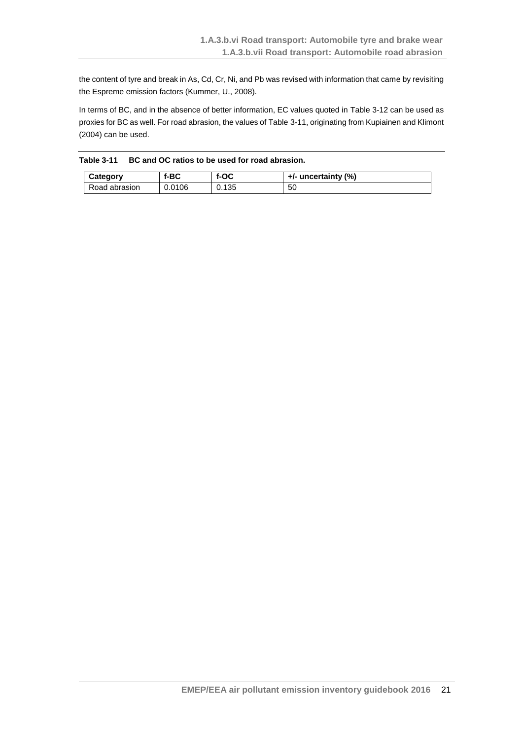the content of tyre and break in As, Cd, Cr, Ni, and Pb was revised with information that came by revisiting the Espreme emission factors (Kummer, U., 2008).

In terms of BC, and in the absence of better information, EC values quoted in [Table](#page-21-0) 3-12 can be used as proxies for BC as well. For road abrasion, the values o[f Table](#page-20-0) 3-11, originating from Kupiainen and Klimont (2004) can be used.

<span id="page-20-0"></span>

| Table 3-11 | BC and OC ratios to be used for road abrasion. |
|------------|------------------------------------------------|
|------------|------------------------------------------------|

| Category      | f-BC   | $f-OC$ | $+/-$ uncertainty (%) |
|---------------|--------|--------|-----------------------|
| Road abrasion | 0.0106 | 0.135  | 50                    |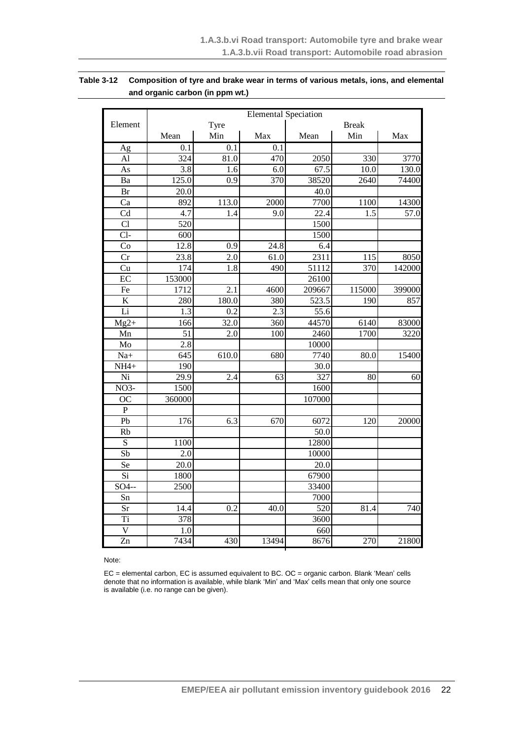## <span id="page-21-0"></span>**Table 3-12 Composition of tyre and brake wear in terms of various metals, ions, and elemental and organic carbon (in ppm wt.)**

|                          |                   | <b>Elemental Speciation</b> |       |                   |              |                  |  |  |
|--------------------------|-------------------|-----------------------------|-------|-------------------|--------------|------------------|--|--|
| Element                  |                   | Tyre                        |       |                   | <b>Break</b> |                  |  |  |
|                          | Mean              | Min                         | Max   | Mean              | Min          | Max              |  |  |
| Ag                       | 0.1               | $\overline{0.1}$            | 0.1   |                   |              |                  |  |  |
| AI                       | 324               | 81.0                        | 470   | 2050              | 330          | 3770             |  |  |
| As                       | 3.8               | 1.6                         | 6.0   | 67.5              | 10.0         | 130.0            |  |  |
| Ba                       | 125.0             | 0.9                         | 370   | 38520             | 2640         | 74400            |  |  |
| Br                       | 20.0              |                             |       | 40.0              |              |                  |  |  |
| Ca                       | 892               | 113.0                       | 2000  | 7700              | 1100         | 14300            |  |  |
| $\overline{\text{Cd}}$   | $\overline{4.7}$  | 1.4                         | 9.0   | 22.4              | 1.5          | $\frac{1}{57.0}$ |  |  |
| Cl                       | 520               |                             |       | 1500              |              |                  |  |  |
| $Cl-$                    | 600               |                             |       | 1500              |              |                  |  |  |
| $\overline{\mathrm{Co}}$ | 12.8              | 0.9                         | 24.8  | 6.4               |              |                  |  |  |
| $\overline{\text{Cr}}$   | $\overline{23.8}$ | $\overline{2.0}$            | 61.0  | 2311              | 115          | 8050             |  |  |
| $\overline{\mathrm{Cu}}$ | 174               | $\overline{1.8}$            | 490   | 51112             | 370          | 142000           |  |  |
| $\overline{EC}$          | 153000            |                             |       | 26100             |              |                  |  |  |
| Fe                       | 1712              | 2.1                         | 4600  | 209667            | 115000       | 399000           |  |  |
| $\overline{K}$           | 280               | 180.0                       | 380   | 523.5             | 190          | 857              |  |  |
| Li                       | $\overline{1.3}$  | 0.2                         | 2.3   | $\overline{55.6}$ |              |                  |  |  |
| $Mg2+$                   | 166               | 32.0                        | 360   | 44570             | 6140         | 83000            |  |  |
| Mn                       | $\overline{51}$   | 2.0                         | 100   | 2460              | 1700         | 3220             |  |  |
| Mo                       | $\overline{2.8}$  |                             |       | 10000             |              |                  |  |  |
| $Na+$                    | 645               | 610.0                       | 680   | 7740              | 80.0         | 15400            |  |  |
| $NH4+$                   | 190               |                             |       | 30.0              |              |                  |  |  |
| $\overline{Ni}$          | $\overline{29.9}$ | 2.4                         | 63    | 327               | 80           | 60               |  |  |
| $NO3-$                   | 1500              |                             |       | 1600              |              |                  |  |  |
| $\overline{OC}$          | 360000            |                             |       | 107000            |              |                  |  |  |
| $\overline{P}$           |                   |                             |       |                   |              |                  |  |  |
| Pb                       | 176               | 6.3                         | 670   | 6072              | 120          | 20000            |  |  |
| Rb                       |                   |                             |       | 50.0              |              |                  |  |  |
| $\overline{S}$           | 1100              |                             |       | 12800             |              |                  |  |  |
| Sb                       | 2.0               |                             |       | 10000             |              |                  |  |  |
| Se                       | $\overline{20.0}$ |                             |       | $\overline{20.0}$ |              |                  |  |  |
| $\overline{Si}$          | 1800              |                             |       | 67900             |              |                  |  |  |
| SO4--                    | 2500              |                             |       | 33400             |              |                  |  |  |
| Sn                       |                   |                             |       | 7000              |              |                  |  |  |
| Sr                       | 14.4              | 0.2                         | 40.0  | 520               | 81.4         | 740              |  |  |
| Ti                       | 378               |                             |       | 3600              |              |                  |  |  |
| $\overline{\rm v}$       | 1.0               |                             |       | 660               |              |                  |  |  |
| Zn                       | 7434              | 430                         | 13494 | 8676              | 270          | 21800            |  |  |

Note:

EC = elemental carbon, EC is assumed equivalent to BC. OC = organic carbon. Blank 'Mean' cells denote that no information is available, while blank 'Min' and 'Max' cells mean that only one source is available (i.e. no range can be given).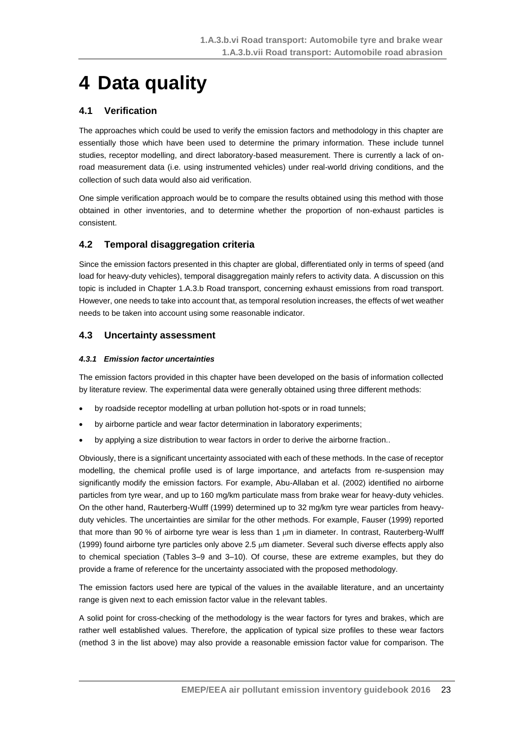# <span id="page-22-0"></span>**4 Data quality**

## <span id="page-22-1"></span>**4.1 Verification**

The approaches which could be used to verify the emission factors and methodology in this chapter are essentially those which have been used to determine the primary information. These include tunnel studies, receptor modelling, and direct laboratory-based measurement. There is currently a lack of onroad measurement data (i.e. using instrumented vehicles) under real-world driving conditions, and the collection of such data would also aid verification.

One simple verification approach would be to compare the results obtained using this method with those obtained in other inventories, and to determine whether the proportion of non-exhaust particles is consistent.

## <span id="page-22-2"></span>**4.2 Temporal disaggregation criteria**

Since the emission factors presented in this chapter are global, differentiated only in terms of speed (and load for heavy-duty vehicles), temporal disaggregation mainly refers to activity data. A discussion on this topic is included in Chapter 1.A.3.b Road transport, concerning exhaust emissions from road transport. However, one needs to take into account that, as temporal resolution increases, the effects of wet weather needs to be taken into account using some reasonable indicator.

## <span id="page-22-3"></span>**4.3 Uncertainty assessment**

### *4.3.1 Emission factor uncertainties*

The emission factors provided in this chapter have been developed on the basis of information collected by literature review. The experimental data were generally obtained using three different methods:

- by roadside receptor modelling at urban pollution hot-spots or in road tunnels;
- by airborne particle and wear factor determination in laboratory experiments;
- by applying a size distribution to wear factors in order to derive the airborne fraction..

Obviously, there is a significant uncertainty associated with each of these methods. In the case of receptor modelling, the chemical profile used is of large importance, and artefacts from re-suspension may significantly modify the emission factors. For example, Abu-Allaban et al. (2002) identified no airborne particles from tyre wear, and up to 160 mg/km particulate mass from brake wear for heavy-duty vehicles. On the other hand, Rauterberg-Wulff (1999) determined up to 32 mg/km tyre wear particles from heavyduty vehicles. The uncertainties are similar for the other methods. For example, Fauser (1999) reported that more than 90 % of airborne tyre wear is less than 1  $\mu$ m in diameter. In contrast, Rauterberg-Wulff (1999) found airborne tyre particles only above 2.5 m diameter. Several such diverse effects apply also to chemical speciation (Tables 3–9 and 3–10). Of course, these are extreme examples, but they do provide a frame of reference for the uncertainty associated with the proposed methodology.

The emission factors used here are typical of the values in the available literature, and an uncertainty range is given next to each emission factor value in the relevant tables.

A solid point for cross-checking of the methodology is the wear factors for tyres and brakes, which are rather well established values. Therefore, the application of typical size profiles to these wear factors (method 3 in the list above) may also provide a reasonable emission factor value for comparison. The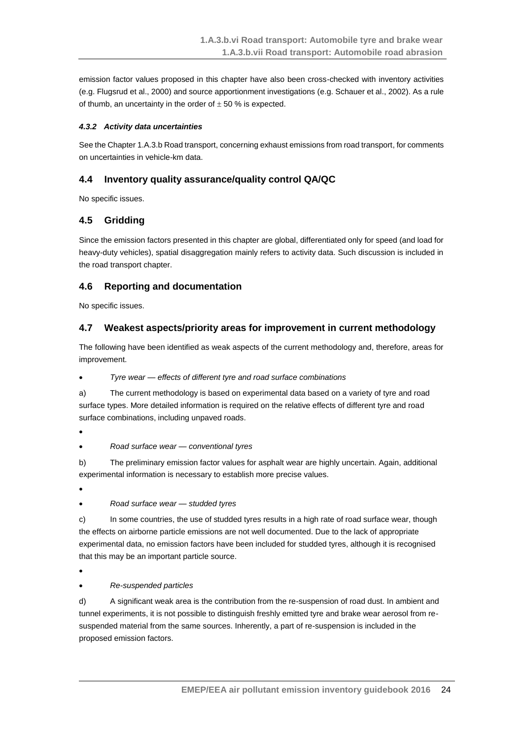emission factor values proposed in this chapter have also been cross-checked with inventory activities (e.g. Flugsrud et al., 2000) and source apportionment investigations (e.g. Schauer et al., 2002). As a rule of thumb, an uncertainty in the order of  $\pm$  50 % is expected.

### *4.3.2 Activity data uncertainties*

See the Chapter 1.A.3.b Road transport, concerning exhaust emissions from road transport, for comments on uncertainties in vehicle-km data.

## <span id="page-23-0"></span>**4.4 Inventory quality assurance/quality control QA/QC**

No specific issues.

## <span id="page-23-1"></span>**4.5 Gridding**

Since the emission factors presented in this chapter are global, differentiated only for speed (and load for heavy-duty vehicles), spatial disaggregation mainly refers to activity data. Such discussion is included in the road transport chapter.

## <span id="page-23-2"></span>**4.6 Reporting and documentation**

No specific issues.

## <span id="page-23-3"></span>**4.7 Weakest aspects/priority areas for improvement in current methodology**

The following have been identified as weak aspects of the current methodology and, therefore, areas for improvement.

*Tyre wear — effects of different tyre and road surface combinations*

a) The current methodology is based on experimental data based on a variety of tyre and road surface types. More detailed information is required on the relative effects of different tyre and road surface combinations, including unpaved roads.

 $\bullet$ 

*Road surface wear — conventional tyres*

b) The preliminary emission factor values for asphalt wear are highly uncertain. Again, additional experimental information is necessary to establish more precise values.

- $\bullet$ 
	- *Road surface wear — studded tyres*

c) In some countries, the use of studded tyres results in a high rate of road surface wear, though the effects on airborne particle emissions are not well documented. Due to the lack of appropriate experimental data, no emission factors have been included for studded tyres, although it is recognised that this may be an important particle source.

 $\bullet$ 

*Re-suspended particles*

d) A significant weak area is the contribution from the re-suspension of road dust. In ambient and tunnel experiments, it is not possible to distinguish freshly emitted tyre and brake wear aerosol from resuspended material from the same sources. Inherently, a part of re-suspension is included in the proposed emission factors.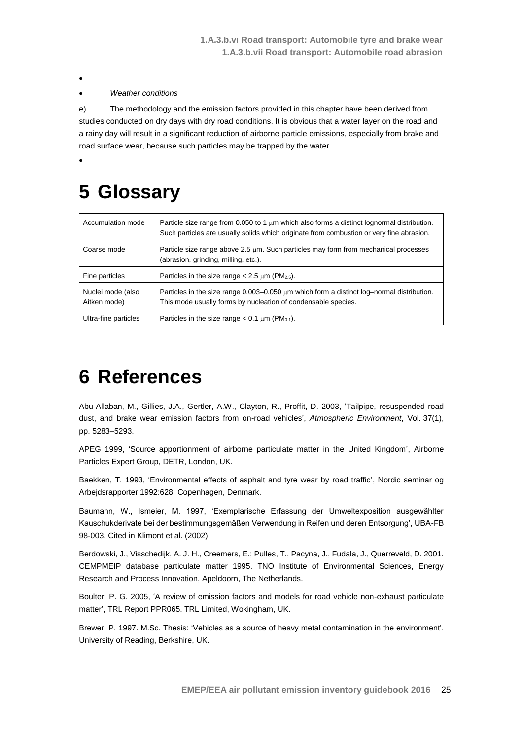$\bullet$ 

 $\bullet$ 

### *Weather conditions*

e) The methodology and the emission factors provided in this chapter have been derived from studies conducted on dry days with dry road conditions. It is obvious that a water layer on the road and a rainy day will result in a significant reduction of airborne particle emissions, especially from brake and road surface wear, because such particles may be trapped by the water.

# <span id="page-24-0"></span>**5 Glossary**

| Accumulation mode                 | Particle size range from 0.050 to 1 $\mu$ m which also forms a distinct lognormal distribution.<br>Such particles are usually solids which originate from combustion or very fine abrasion. |
|-----------------------------------|---------------------------------------------------------------------------------------------------------------------------------------------------------------------------------------------|
| Coarse mode                       | Particle size range above 2.5 $\mu$ m. Such particles may form from mechanical processes<br>(abrasion, grinding, milling, etc.).                                                            |
| Fine particles                    | Particles in the size range $< 2.5 \mu m$ (PM <sub>2.5</sub> ).                                                                                                                             |
| Nuclei mode (also<br>Aitken mode) | Particles in the size range $0.003-0.050 \mu m$ which form a distinct log-normal distribution.<br>This mode usually forms by nucleation of condensable species.                             |
| Ultra-fine particles              | Particles in the size range $< 0.1 \mu m$ (PM <sub>0.1</sub> ).                                                                                                                             |

## <span id="page-24-1"></span>**6 References**

Abu-Allaban, M., Gillies, J.A., Gertler, A.W., Clayton, R., Proffit, D. 2003, 'Tailpipe, resuspended road dust, and brake wear emission factors from on-road vehicles', *Atmospheric Environment*, Vol. 37(1), pp. 5283–5293.

APEG 1999, 'Source apportionment of airborne particulate matter in the United Kingdom', Airborne Particles Expert Group, DETR, London, UK.

Baekken, T. 1993, 'Environmental effects of asphalt and tyre wear by road traffic', Nordic seminar og Arbejdsrapporter 1992:628, Copenhagen, Denmark.

Baumann, W., Ismeier, M. 1997, 'Exemplarische Erfassung der Umweltexposition ausgewählter Kauschukderivate bei der bestimmungsgemäßen Verwendung in Reifen und deren Entsorgung', UBA-FB 98-003. Cited in Klimont et al. (2002).

Berdowski, J., Visschedijk, A. J. H., Creemers, E.; Pulles, T., Pacyna, J., Fudala, J., Querreveld, D. 2001. CEMPMEIP database particulate matter 1995. TNO Institute of Environmental Sciences, Energy Research and Process Innovation, Apeldoorn, The Netherlands.

Boulter, P. G. 2005, 'A review of emission factors and models for road vehicle non-exhaust particulate matter', TRL Report PPR065. TRL Limited, Wokingham, UK.

Brewer, P. 1997. M.Sc. Thesis: 'Vehicles as a source of heavy metal contamination in the environment'. University of Reading, Berkshire, UK.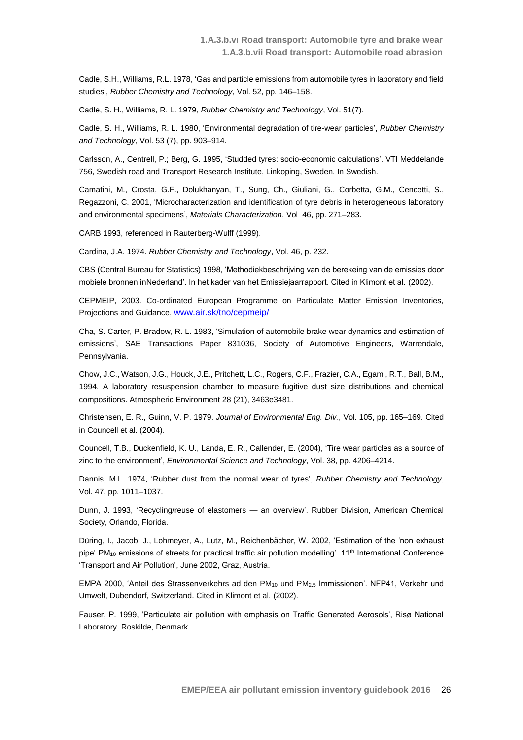Cadle, S.H., Williams, R.L. 1978, 'Gas and particle emissions from automobile tyres in laboratory and field studies', *Rubber Chemistry and Technology*, Vol. 52, pp. 146–158.

Cadle, S. H., Williams, R. L. 1979, *Rubber Chemistry and Technology*, Vol. 51(7).

Cadle, S. H., Williams, R. L. 1980, 'Environmental degradation of tire-wear particles', *Rubber Chemistry and Technology*, Vol. 53 (7), pp. 903–914.

Carlsson, A., Centrell, P.; Berg, G. 1995, 'Studded tyres: socio-economic calculations'. VTI Meddelande 756, Swedish road and Transport Research Institute, Linkoping, Sweden. In Swedish.

Camatini, M., Crosta, G.F., Dolukhanyan, T., Sung, Ch., Giuliani, G., Corbetta, G.M., Cencetti, S., Regazzoni, C. 2001, 'Microcharacterization and identification of tyre debris in heterogeneous laboratory and environmental specimens', *Materials Characterization*, Vol 46, pp. 271–283.

CARB 1993, referenced in Rauterberg-Wulff (1999).

Cardina, J.A. 1974. *Rubber Chemistry and Technology*, Vol. 46, p. 232.

CBS (Central Bureau for Statistics) 1998, 'Methodiekbeschrijving van de berekeing van de emissies door mobiele bronnen inNederland'. In het kader van het Emissiejaarrapport. Cited in Klimont et al. (2002).

CEPMEIP, 2003. Co-ordinated European Programme on Particulate Matter Emission Inventories, Projections and Guidance, [www.air.sk/tno/cepmeip/](http://www.air.sk/tno/cepmeip/)

Cha, S. Carter, P. Bradow, R. L. 1983, 'Simulation of automobile brake wear dynamics and estimation of emissions', SAE Transactions Paper 831036, Society of Automotive Engineers, Warrendale, Pennsylvania.

Chow, J.C., Watson, J.G., Houck, J.E., Pritchett, L.C., Rogers, C.F., Frazier, C.A., Egami, R.T., Ball, B.M., 1994. A laboratory resuspension chamber to measure fugitive dust size distributions and chemical compositions. Atmospheric Environment 28 (21), 3463e3481.

Christensen, E. R., Guinn, V. P. 1979. *Journal of Environmental Eng. Div.*, Vol. 105, pp. 165–169. Cited in Councell et al. (2004).

Councell, T.B., Duckenfield, K. U., Landa, E. R., Callender, E. (2004), 'Tire wear particles as a source of zinc to the environment', *Environmental Science and Technology*, Vol. 38, pp. 4206–4214.

Dannis, M.L. 1974, 'Rubber dust from the normal wear of tyres', *Rubber Chemistry and Technology*, Vol. 47, pp. 1011–1037.

Dunn, J. 1993, 'Recycling/reuse of elastomers — an overview'. Rubber Division, American Chemical Society, Orlando, Florida.

Düring, I., Jacob, J., Lohmeyer, A., Lutz, M., Reichenbächer, W. 2002, 'Estimation of the 'non exhaust pipe' PM<sub>10</sub> emissions of streets for practical traffic air pollution modelling'. 11<sup>th</sup> International Conference 'Transport and Air Pollution', June 2002, Graz, Austria.

EMPA 2000, 'Anteil des Strassenverkehrs ad den PM<sub>10</sub> und PM<sub>2.5</sub> Immissionen'. NFP41, Verkehr und Umwelt, Dubendorf, Switzerland. Cited in Klimont et al. (2002).

Fauser, P. 1999, 'Particulate air pollution with emphasis on Traffic Generated Aerosols', Risø National Laboratory, Roskilde, Denmark.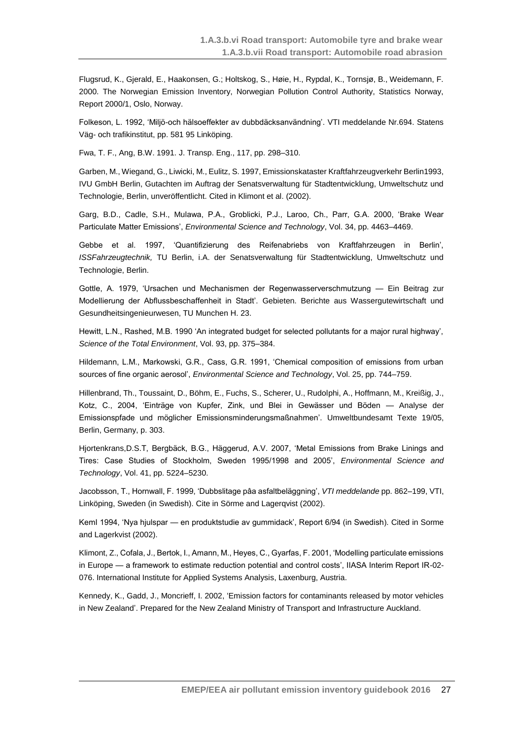Flugsrud, K., Gjerald, E., Haakonsen, G.; Holtskog, S., Høie, H., Rypdal, K., Tornsjø, B., Weidemann, F. 2000. The Norwegian Emission Inventory, Norwegian Pollution Control Authority, Statistics Norway, Report 2000/1, Oslo, Norway.

Folkeson, L. 1992, 'Miljö-och hälsoeffekter av dubbdäcksanvändning'. VTI meddelande Nr.694. Statens Väg- och trafikinstitut, pp. 581 95 Linköping.

Fwa, T. F., Ang, B.W. 1991. J. Transp. Eng., 117, pp. 298–310.

Garben, M., Wiegand, G., Liwicki, M., Eulitz, S. 1997, Emissionskataster Kraftfahrzeugverkehr Berlin1993, IVU GmbH Berlin, Gutachten im Auftrag der Senatsverwaltung für Stadtentwicklung, Umweltschutz und Technologie, Berlin, unveröffentlicht. Cited in Klimont et al. (2002).

Garg, B.D., Cadle, S.H., Mulawa, P.A., Groblicki, P.J., Laroo, Ch., Parr, G.A. 2000, 'Brake Wear Particulate Matter Emissions', *Environmental Science and Technology*, Vol. 34, pp. 4463–4469.

Gebbe et al. 1997, 'Quantifizierung des Reifenabriebs von Kraftfahrzeugen in Berlin', *ISSFahrzeugtechnik,* TU Berlin, i.A. der Senatsverwaltung für Stadtentwicklung, Umweltschutz und Technologie, Berlin.

Gottle, A. 1979, 'Ursachen und Mechanismen der Regenwasserverschmutzung — Ein Beitrag zur Modellierung der Abflussbeschaffenheit in Stadt'. Gebieten. Berichte aus Wassergutewirtschaft und Gesundheitsingenieurwesen, TU Munchen H. 23.

Hewitt, L.N., Rashed, M.B. 1990 'An integrated budget for selected pollutants for a major rural highway', *Science of the Total Environment*, Vol. 93, pp. 375–384.

Hildemann, L.M., Markowski, G.R., Cass, G.R. 1991, 'Chemical composition of emissions from urban sources of fine organic aerosol', *Environmental Science and Technology*, Vol. 25, pp. 744–759.

Hillenbrand, Th., Toussaint, D., Böhm, E., Fuchs, S., Scherer, U., Rudolphi, A., Hoffmann, M., Kreißig, J., Kotz, C., 2004, 'Einträge von Kupfer, Zink, und Blei in Gewässer und Böden — Analyse der Emissionspfade und möglicher Emissionsminderungsmaßnahmen'. Umweltbundesamt Texte 19/05, Berlin, Germany, p. 303.

Hjortenkrans,D.S.T, Bergbäck, B.G., Häggerud, A.V. 2007, 'Metal Emissions from Brake Linings and Tires: Case Studies of Stockholm, Sweden 1995/1998 and 2005', *Environmental Science and Technology*, Vol. 41, pp. 5224–5230.

Jacobsson, T., Hornwall, F. 1999, 'Dubbslitage pâa asfaltbeläggning', *VTI meddelande* pp. 862–199, VTI, Linköping, Sweden (in Swedish). Cite in Sörme and Lagerqvist (2002).

KemI 1994, 'Nya hjulspar — en produktstudie av gummidack', Report 6/94 (in Swedish). Cited in Sorme and Lagerkvist (2002).

Klimont, Z., Cofala, J., Bertok, I., Amann, M., Heyes, C., Gyarfas, F. 2001, 'Modelling particulate emissions in Europe — a framework to estimate reduction potential and control costs', IIASA Interim Report IR-02- 076. International Institute for Applied Systems Analysis, Laxenburg, Austria.

Kennedy, K., Gadd, J., Moncrieff, I. 2002, 'Emission factors for contaminants released by motor vehicles in New Zealand'. Prepared for the New Zealand Ministry of Transport and Infrastructure Auckland.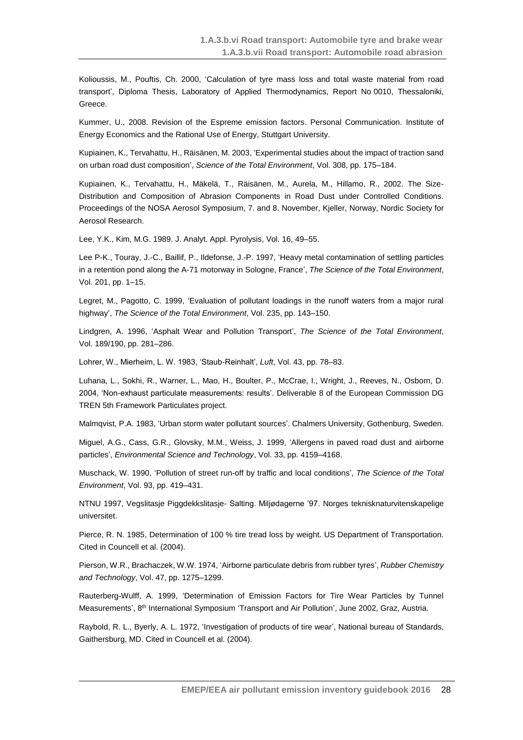Kolioussis, M., Pouftis, Ch. 2000, 'Calculation of tyre mass loss and total waste material from road transport', Diploma Thesis, Laboratory of Applied Thermodynamics, Report No 0010, Thessaloniki, Greece.

Kummer, U., 2008. Revision of the Espreme emission factors. Personal Communication. Institute of Energy Economics and the Rational Use of Energy, Stuttgart University.

Kupiainen, K., Tervahattu, H., Räisänen, M. 2003, 'Experimental studies about the impact of traction sand on urban road dust composition', *Science of the Total Environment*, Vol. 308, pp. 175–184.

Kupiainen, K., Tervahattu, H., Mäkelä, T., Räisänen, M., Aurela, M., Hillamo, R., 2002. The Size-Distribution and Composition of Abrasion Components in Road Dust under Controlled Conditions. Proceedings of the NOSA Aerosol Symposium, 7. and 8. November, Kjeller, Norway, Nordic Society for Aerosol Research.

Lee, Y.K., Kim, M.G. 1989. J. Analyt. Appl. Pyrolysis, Vol. 16, 49–55.

Lee P-K., Touray, J.-C., Baillif, P., Ildefonse, J.-P. 1997, 'Heavy metal contamination of settling particles in a retention pond along the A-71 motorway in Sologne, France', *The Science of the Total Environment*, Vol. 201, pp. 1–15.

Legret, M., Pagotto, C. 1999, 'Evaluation of pollutant loadings in the runoff waters from a major rural highway', *The Science of the Total Environment*, Vol. 235, pp. 143–150.

Lindgren, A. 1996, 'Asphalt Wear and Pollution Transport', *The Science of the Total Environment*, Vol. 189/190, pp. 281–286.

Lohrer, W., Mierheim, L. W. 1983, 'Staub-Reinhalt', *Luft*, Vol. 43, pp. 78–83.

Luhana, L., Sokhi, R., Warner, L., Mao, H., Boulter, P., McCrae, I., Wright, J., Reeves, N., Osborn, D. 2004, 'Non-exhaust particulate measurements: results'. Deliverable 8 of the European Commission DG TREN 5th Framework Particulates project.

Malmqvist, P.A. 1983, 'Urban storm water pollutant sources'. Chalmers University, Gothenburg, Sweden.

Miguel, A.G., Cass, G.R., Glovsky, M.M., Weiss, J. 1999, 'Allergens in paved road dust and airborne particles', *Environmental Science and Technology*, Vol. 33, pp. 4159–4168.

Muschack, W. 1990, 'Pollution of street run-off by traffic and local conditions', *The Science of the Total Environment*, Vol. 93, pp. 419–431.

NTNU 1997, Vegslitasje Piggdekkslitasje- Salting. Miljødagerne '97. Norges teknisknaturvitenskapelige universitet.

Pierce, R. N. 1985, Determination of 100 % tire tread loss by weight. US Department of Transportation. Cited in Councell et al. (2004).

Pierson, W.R., Brachaczek, W.W. 1974, 'Airborne particulate debris from rubber tyres', *Rubber Chemistry and Technology*, Vol. 47, pp. 1275–1299.

Rauterberg-Wulff, A. 1999, 'Determination of Emission Factors for Tire Wear Particles by Tunnel Measurements', 8<sup>th</sup> International Symposium 'Transport and Air Pollution', June 2002, Graz, Austria.

Raybold, R. L., Byerly, A. L. 1972, 'Investigation of products of tire wear', National bureau of Standards, Gaithersburg, MD. Cited in Councell et al. (2004).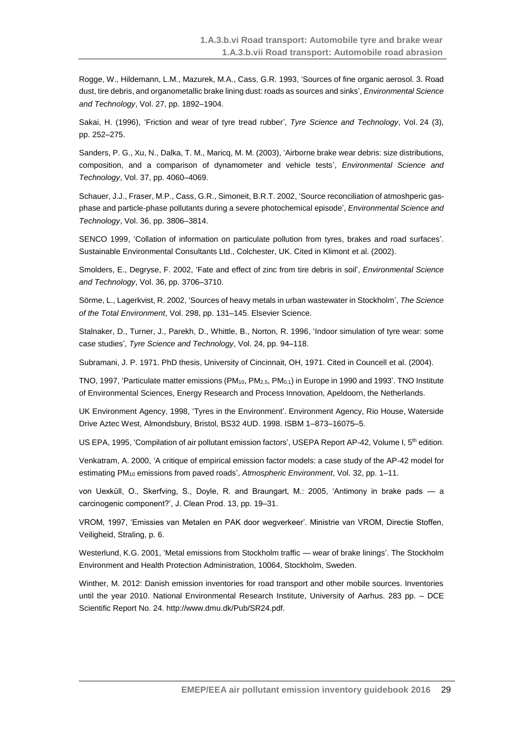Rogge, W., Hildemann, L.M., Mazurek, M.A., Cass, G.R. 1993, 'Sources of fine organic aerosol. 3. Road dust, tire debris, and organometallic brake lining dust: roads as sources and sinks', *Environmental Science and Technology*, Vol. 27, pp. 1892–1904.

Sakai, H. (1996), 'Friction and wear of tyre tread rubber', *Tyre Science and Technology*, Vol. 24 (3), pp. 252–275.

Sanders, P. G., Xu, N., Dalka, T. M., Maricq, M. M. (2003), 'Airborne brake wear debris: size distributions, composition, and a comparison of dynamometer and vehicle tests', *Environmental Science and Technology*, Vol. 37, pp. 4060–4069.

Schauer, J.J., Fraser, M.P., Cass, G.R., Simoneit, B.R.T. 2002, 'Source reconciliation of atmoshperic gasphase and particle-phase pollutants during a severe photochemical episode', *Environmental Science and Technology*, Vol. 36, pp. 3806–3814.

SENCO 1999, 'Collation of information on particulate pollution from tyres, brakes and road surfaces'. Sustainable Environmental Consultants Ltd., Colchester, UK. Cited in Klimont et al. (2002).

Smolders, E., Degryse, F. 2002, 'Fate and effect of zinc from tire debris in soil', *Environmental Science and Technology*, Vol. 36, pp. 3706–3710.

Sörme, L., Lagerkvist, R. 2002, 'Sources of heavy metals in urban wastewater in Stockholm', *The Science of the Total Environment*, Vol. 298, pp. 131–145. Elsevier Science.

Stalnaker, D., Turner, J., Parekh, D., Whittle, B., Norton, R. 1996, 'Indoor simulation of tyre wear: some case studies', *Tyre Science and Technology*, Vol. 24, pp. 94–118.

Subramani, J. P. 1971. PhD thesis, University of Cincinnait, OH, 1971. Cited in Councell et al. (2004).

TNO, 1997, 'Particulate matter emissions (PM10, PM2,5, PM0,1) in Europe in 1990 and 1993'. TNO Institute of Environmental Sciences, Energy Research and Process Innovation, Apeldoorn, the Netherlands.

UK Environment Agency, 1998, 'Tyres in the Environment'. Environment Agency, Rio House, Waterside Drive Aztec West, Almondsbury, Bristol, BS32 4UD. 1998. ISBM 1–873–16075–5.

US EPA, 1995, 'Compilation of air pollutant emission factors', USEPA Report AP-42, Volume I, 5<sup>th</sup> edition.

Venkatram, A. 2000, 'A critique of empirical emission factor models: a case study of the AP-42 model for estimating PM<sup>10</sup> emissions from paved roads', *Atmospheric Environment*, Vol. 32, pp. 1–11.

von Uexküll, O., Skerfving, S., Doyle, R. and Braungart, M.: 2005, 'Antimony in brake pads — a carcinogenic component?', J. Clean Prod. 13, pp. 19–31.

VROM, 1997, 'Emissies van Metalen en PAK door wegverkeer'. Ministrie van VROM, Directie Stoffen, Veiligheid, Straling, p. 6.

Westerlund, K.G. 2001, 'Metal emissions from Stockholm traffic — wear of brake linings'. The Stockholm Environment and Health Protection Administration, 10064, Stockholm, Sweden.

Winther, M. 2012: Danish emission inventories for road transport and other mobile sources. Inventories until the year 2010. National Environmental Research Institute, University of Aarhus. 283 pp. – DCE Scientific Report No. 24. http://www.dmu.dk/Pub/SR24.pdf.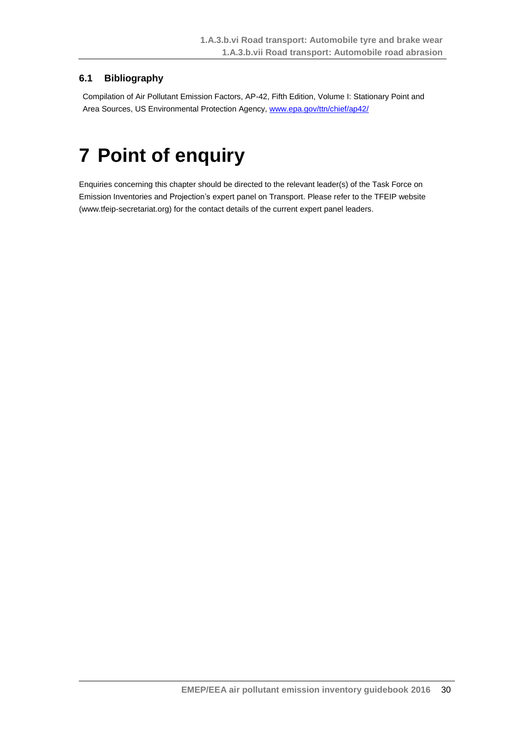## <span id="page-29-0"></span>**6.1 Bibliography**

Compilation of Air Pollutant Emission Factors, AP-42, Fifth Edition, Volume I: Stationary Point and Area Sources, US Environmental Protection Agency, [www.epa.gov/ttn/chief/ap42/](http://www.epa.gov/ttn/chief/ap42/)

# <span id="page-29-1"></span>**7 Point of enquiry**

Enquiries concerning this chapter should be directed to the relevant leader(s) of the Task Force on Emission Inventories and Projection's expert panel on Transport. Please refer to the TFEIP website (www.tfeip-secretariat.org) for the contact details of the current expert panel leaders.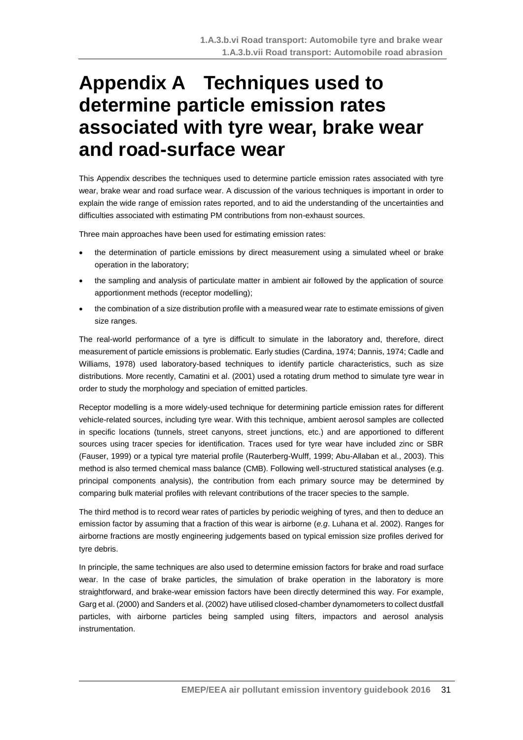# <span id="page-30-0"></span>**Appendix A Techniques used to determine particle emission rates associated with tyre wear, brake wear and road-surface wear**

This Appendix describes the techniques used to determine particle emission rates associated with tyre wear, brake wear and road surface wear. A discussion of the various techniques is important in order to explain the wide range of emission rates reported, and to aid the understanding of the uncertainties and difficulties associated with estimating PM contributions from non-exhaust sources.

Three main approaches have been used for estimating emission rates:

- the determination of particle emissions by direct measurement using a simulated wheel or brake operation in the laboratory;
- the sampling and analysis of particulate matter in ambient air followed by the application of source apportionment methods (receptor modelling);
- the combination of a size distribution profile with a measured wear rate to estimate emissions of given size ranges.

The real-world performance of a tyre is difficult to simulate in the laboratory and, therefore, direct measurement of particle emissions is problematic. Early studies (Cardina, 1974; Dannis, 1974; Cadle and Williams, 1978) used laboratory-based techniques to identify particle characteristics, such as size distributions. More recently, Camatini et al. (2001) used a rotating drum method to simulate tyre wear in order to study the morphology and speciation of emitted particles.

Receptor modelling is a more widely-used technique for determining particle emission rates for different vehicle-related sources, including tyre wear. With this technique, ambient aerosol samples are collected in specific locations (tunnels, street canyons, street junctions, etc.) and are apportioned to different sources using tracer species for identification. Traces used for tyre wear have included zinc or SBR (Fauser, 1999) or a typical tyre material profile (Rauterberg-Wulff, 1999; Abu-Allaban et al., 2003). This method is also termed chemical mass balance (CMB). Following well-structured statistical analyses (e.g. principal components analysis), the contribution from each primary source may be determined by comparing bulk material profiles with relevant contributions of the tracer species to the sample.

The third method is to record wear rates of particles by periodic weighing of tyres, and then to deduce an emission factor by assuming that a fraction of this wear is airborne (*e.g*. Luhana et al. 2002). Ranges for airborne fractions are mostly engineering judgements based on typical emission size profiles derived for tyre debris.

In principle, the same techniques are also used to determine emission factors for brake and road surface wear. In the case of brake particles, the simulation of brake operation in the laboratory is more straightforward, and brake-wear emission factors have been directly determined this way. For example, Garg et al. (2000) and Sanders et al. (2002) have utilised closed-chamber dynamometers to collect dustfall particles, with airborne particles being sampled using filters, impactors and aerosol analysis instrumentation.